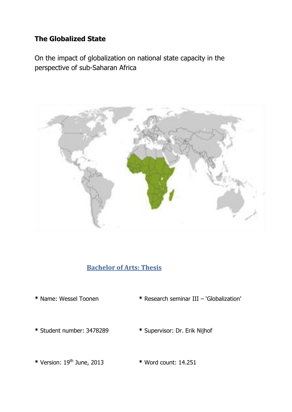# **The Globalized State**

On the impact of globalization on national state capacity in the perspective of sub-Saharan Africa



# **Bachelor of Arts: Thesis**

- 
- **\*** Name: Wessel Toonen **\*** Research seminar III 'Globalization'
- 
- **\*** Student number: 3478289 **\*** Supervisor: Dr. Erik Nijhof
- **\*** Version: 19th June, 2013 **\*** Word count: 14.251
	-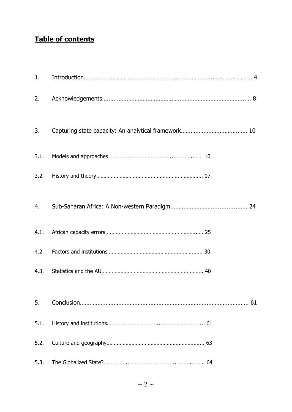# **Table of contents**

| 1.   |  |
|------|--|
| 2.   |  |
| 3.   |  |
| 3.1. |  |
| 3.2. |  |
| 4.   |  |
| 4.1. |  |
| 4.2. |  |
| 4.3. |  |
| 5.   |  |
| 5.1. |  |
| 5.2. |  |
| 5.3. |  |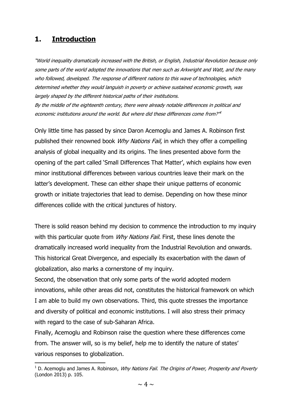## **1. Introduction**

**.** 

"World inequality dramatically increased with the British, or English, Industrial Revolution because only some parts of the world adopted the innovations that men such as Arkwright and Watt, and the many who followed, developed. The response of different nations to this wave of technologies, which determined whether they would languish in poverty or achieve sustained economic growth, was largely shaped by the different historical paths of their institutions.

By the middle of the eighteenth century, there were already notable differences in political and economic institutions around the world. But where did these differences come from?" 1

Only little time has passed by since Daron Acemoglu and James A. Robinson first published their renowned book *Why Nations Fail*, in which they offer a compelling analysis of global inequality and its origins. The lines presented above form the opening of the part called 'Small Differences That Matter', which explains how even minor institutional differences between various countries leave their mark on the latter's development. These can either shape their unique patterns of economic growth or initiate trajectories that lead to demise. Depending on how these minor differences collide with the critical junctures of history.

There is solid reason behind my decision to commence the introduction to my inquiry with this particular quote from *Why Nations Fail.* First, these lines denote the dramatically increased world inequality from the Industrial Revolution and onwards. This historical Great Divergence, and especially its exacerbation with the dawn of globalization, also marks a cornerstone of my inquiry.

Second, the observation that only some parts of the world adopted modern innovations, while other areas did not, constitutes the historical framework on which I am able to build my own observations. Third, this quote stresses the importance and diversity of political and economic institutions. I will also stress their primacy with regard to the case of sub-Saharan Africa.

Finally, Acemoglu and Robinson raise the question where these differences come from. The answer will, so is my belief, help me to identify the nature of states' various responses to globalization.

 $1$  D. Acemoglu and James A. Robinson, Why Nations Fail. The Origins of Power, Prosperity and Poverty (London 2013) p. 105.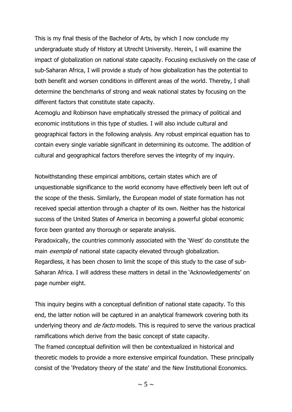This is my final thesis of the Bachelor of Arts, by which I now conclude my undergraduate study of History at Utrecht University. Herein, I will examine the impact of globalization on national state capacity. Focusing exclusively on the case of sub-Saharan Africa, I will provide a study of how globalization has the potential to both benefit and worsen conditions in different areas of the world. Thereby, I shall determine the benchmarks of strong and weak national states by focusing on the different factors that constitute state capacity.

Acemoglu and Robinson have emphatically stressed the primacy of political and economic institutions in this type of studies. I will also include cultural and geographical factors in the following analysis. Any robust empirical equation has to contain every single variable significant in determining its outcome. The addition of cultural and geographical factors therefore serves the integrity of my inquiry.

Notwithstanding these empirical ambitions, certain states which are of unquestionable significance to the world economy have effectively been left out of the scope of the thesis. Similarly, the European model of state formation has not received special attention through a chapter of its own. Neither has the historical success of the United States of America in becoming a powerful global economic force been granted any thorough or separate analysis.

Paradoxically, the countries commonly associated with the 'West' do constitute the main *exempla* of national state capacity elevated through globalization. Regardless, it has been chosen to limit the scope of this study to the case of sub-Saharan Africa. I will address these matters in detail in the 'Acknowledgements' on page number eight.

This inquiry begins with a conceptual definition of national state capacity. To this end, the latter notion will be captured in an analytical framework covering both its underlying theory and *de facto* models. This is required to serve the various practical ramifications which derive from the basic concept of state capacity.

The framed conceptual definition will then be contextualized in historical and theoretic models to provide a more extensive empirical foundation. These principally consist of the 'Predatory theory of the state' and the New Institutional Economics.

 $\sim$  5  $\sim$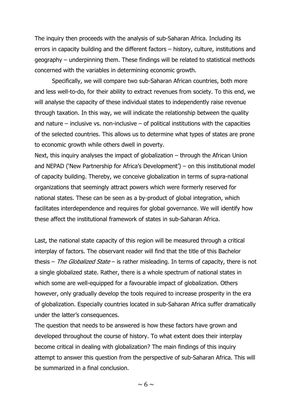The inquiry then proceeds with the analysis of sub-Saharan Africa. Including its errors in capacity building and the different factors – history, culture, institutions and geography – underpinning them. These findings will be related to statistical methods concerned with the variables in determining economic growth.

Specifically, we will compare two sub-Saharan African countries, both more and less well-to-do, for their ability to extract revenues from society. To this end, we will analyse the capacity of these individual states to independently raise revenue through taxation. In this way, we will indicate the relationship between the quality and nature – inclusive vs. non-inclusive – of political institutions with the capacities of the selected countries. This allows us to determine what types of states are prone to economic growth while others dwell in poverty.

Next, this inquiry analyses the impact of globalization – through the African Union and NEPAD ('New Partnership for Africa's Development') – on this institutional model of capacity building. Thereby, we conceive globalization in terms of supra-national organizations that seemingly attract powers which were formerly reserved for national states. These can be seen as a by-product of global integration, which facilitates interdependence and requires for global governance. We will identify how these affect the institutional framework of states in sub-Saharan Africa.

Last, the national state capacity of this region will be measured through a critical interplay of factors. The observant reader will find that the title of this Bachelor thesis – The Globalized State – is rather misleading. In terms of capacity, there is not a single globalized state. Rather, there is a whole spectrum of national states in which some are well-equipped for a favourable impact of globalization. Others however, only gradually develop the tools required to increase prosperity in the era of globalization. Especially countries located in sub-Saharan Africa suffer dramatically under the latter's consequences.

The question that needs to be answered is how these factors have grown and developed throughout the course of history. To what extent does their interplay become critical in dealing with globalization? The main findings of this inquiry attempt to answer this question from the perspective of sub-Saharan Africa. This will be summarized in a final conclusion.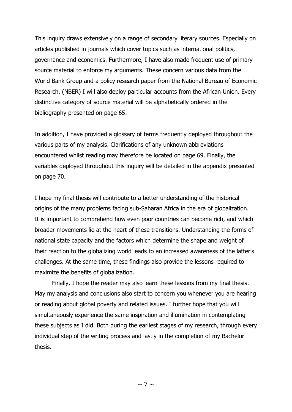This inquiry draws extensively on a range of secondary literary sources. Especially on articles published in journals which cover topics such as international politics, governance and economics. Furthermore, I have also made frequent use of primary source material to enforce my arguments. These concern various data from the World Bank Group and a policy research paper from the National Bureau of Economic Research. (NBER) I will also deploy particular accounts from the African Union. Every distinctive category of source material will be alphabetically ordered in the bibliography presented on page 65.

In addition, I have provided a glossary of terms frequently deployed throughout the various parts of my analysis. Clarifications of any unknown abbreviations encountered whilst reading may therefore be located on page 69. Finally, the variables deployed throughout this inquiry will be detailed in the appendix presented on page 70.

I hope my final thesis will contribute to a better understanding of the historical origins of the many problems facing sub-Saharan Africa in the era of globalization. It is important to comprehend how even poor countries can become rich, and which broader movements lie at the heart of these transitions. Understanding the forms of national state capacity and the factors which determine the shape and weight of their reaction to the globalizing world leads to an increased awareness of the latter's challenges. At the same time, these findings also provide the lessons required to maximize the benefits of globalization.

Finally, I hope the reader may also learn these lessons from my final thesis. May my analysis and conclusions also start to concern you whenever you are hearing or reading about global poverty and related issues. I further hope that you will simultaneously experience the same inspiration and illumination in contemplating these subjects as I did. Both during the earliest stages of my research, through every individual step of the writing process and lastly in the completion of my Bachelor thesis.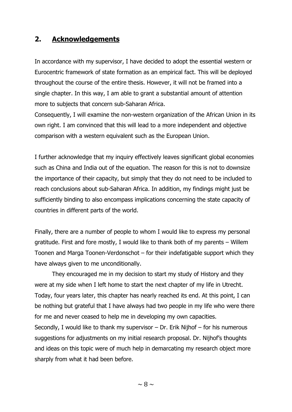## **2. Acknowledgements**

In accordance with my supervisor, I have decided to adopt the essential western or Eurocentric framework of state formation as an empirical fact. This will be deployed throughout the course of the entire thesis. However, it will not be framed into a single chapter. In this way, I am able to grant a substantial amount of attention more to subjects that concern sub-Saharan Africa.

Consequently, I will examine the non-western organization of the African Union in its own right. I am convinced that this will lead to a more independent and objective comparison with a western equivalent such as the European Union.

I further acknowledge that my inquiry effectively leaves significant global economies such as China and India out of the equation. The reason for this is not to downsize the importance of their capacity, but simply that they do not need to be included to reach conclusions about sub-Saharan Africa. In addition, my findings might just be sufficiently binding to also encompass implications concerning the state capacity of countries in different parts of the world.

Finally, there are a number of people to whom I would like to express my personal gratitude. First and fore mostly, I would like to thank both of my parents – Willem Toonen and Marga Toonen-Verdonschot – for their indefatigable support which they have always given to me unconditionally.

They encouraged me in my decision to start my study of History and they were at my side when I left home to start the next chapter of my life in Utrecht. Today, four years later, this chapter has nearly reached its end. At this point, I can be nothing but grateful that I have always had two people in my life who were there for me and never ceased to help me in developing my own capacities. Secondly, I would like to thank my supervisor – Dr. Erik Nijhof – for his numerous suggestions for adjustments on my initial research proposal. Dr. Nijhof's thoughts and ideas on this topic were of much help in demarcating my research object more sharply from what it had been before.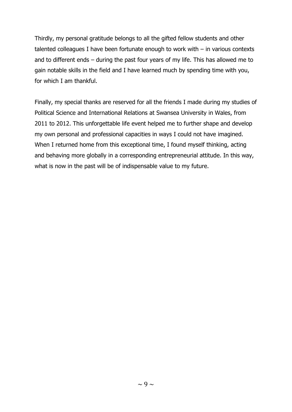Thirdly, my personal gratitude belongs to all the gifted fellow students and other talented colleagues I have been fortunate enough to work with – in various contexts and to different ends – during the past four years of my life. This has allowed me to gain notable skills in the field and I have learned much by spending time with you, for which I am thankful.

Finally, my special thanks are reserved for all the friends I made during my studies of Political Science and International Relations at Swansea University in Wales, from 2011 to 2012. This unforgettable life event helped me to further shape and develop my own personal and professional capacities in ways I could not have imagined. When I returned home from this exceptional time, I found myself thinking, acting and behaving more globally in a corresponding entrepreneurial attitude. In this way, what is now in the past will be of indispensable value to my future.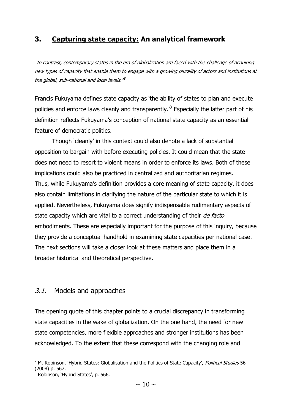# **3. Capturing state capacity: An analytical framework**

"In contrast, contemporary states in the era of globalisation are faced with the challenge of acquiring new types of capacity that enable them to engage with a growing plurality of actors and institutions at the global, sub-national and local levels."<sup>2</sup>

Francis Fukuyama defines state capacity as 'the ability of states to plan and execute policies and enforce laws cleanly and transparently.<sup>3</sup> Especially the latter part of his definition reflects Fukuyama's conception of national state capacity as an essential feature of democratic politics.

Though 'cleanly' in this context could also denote a lack of substantial opposition to bargain with before executing policies. It could mean that the state does not need to resort to violent means in order to enforce its laws. Both of these implications could also be practiced in centralized and authoritarian regimes. Thus, while Fukuyama's definition provides a core meaning of state capacity, it does also contain limitations in clarifying the nature of the particular state to which it is applied. Nevertheless, Fukuyama does signify indispensable rudimentary aspects of state capacity which are vital to a correct understanding of their *de facto* embodiments. These are especially important for the purpose of this inquiry, because they provide a conceptual handhold in examining state capacities per national case. The next sections will take a closer look at these matters and place them in a broader historical and theoretical perspective.

### 3.1. Models and approaches

The opening quote of this chapter points to a crucial discrepancy in transforming state capacities in the wake of globalization. On the one hand, the need for new state competencies, more flexible approaches and stronger institutions has been acknowledged. To the extent that these correspond with the changing role and

<sup>&</sup>lt;sup>2</sup> M. Robinson, 'Hybrid States: Globalisation and the Politics of State Capacity', Political Studies 56 (2008) p. 567.

Robinson, 'Hybrid States', p. 566.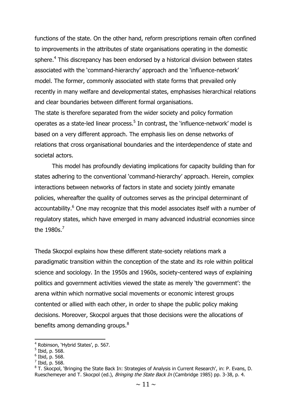functions of the state. On the other hand, reform prescriptions remain often confined to improvements in the attributes of state organisations operating in the domestic sphere.<sup>4</sup> This discrepancy has been endorsed by a historical division between states associated with the 'command-hierarchy' approach and the 'influence-network' model. The former, commonly associated with state forms that prevailed only recently in many welfare and developmental states, emphasises hierarchical relations and clear boundaries between different formal organisations.

The state is therefore separated from the wider society and policy formation operates as a state-led linear process.<sup>5</sup> In contrast, the 'influence-network' model is based on a very different approach. The emphasis lies on dense networks of relations that cross organisational boundaries and the interdependence of state and societal actors.

This model has profoundly deviating implications for capacity building than for states adhering to the conventional 'command-hierarchy' approach. Herein, complex interactions between networks of factors in state and society jointly emanate policies, whereafter the quality of outcomes serves as the principal determinant of accountability.<sup>6</sup> One may recognize that this model associates itself with a number of regulatory states, which have emerged in many advanced industrial economies since the  $1980s$ <sup>7</sup>

Theda Skocpol explains how these different state-society relations mark a paradigmatic transition within the conception of the state and its role within political science and sociology. In the 1950s and 1960s, society-centered ways of explaining politics and government activities viewed the state as merely 'the government': the arena within which normative social movements or economic interest groups contented or allied with each other, in order to shape the public policy making decisions. Moreover, Skocpol argues that those decisions were the allocations of benefits among demanding groups.<sup>8</sup>

<sup>4</sup> Robinson, 'Hybrid States', p. 567.

 $<sup>5</sup>$  Ibid, p. 568.</sup>

 $6$  Ibid, p. 568.

 $<sup>7</sup>$  Ibid, p. 568.</sup>

<sup>&</sup>lt;sup>8</sup> T. Skocpol, 'Bringing the State Back In: Strategies of Analysis in Current Research', in: P. Evans, D. Rueschemeyer and T. Skocpol (ed.), Bringing the State Back In (Cambridge 1985) pp. 3-38, p. 4.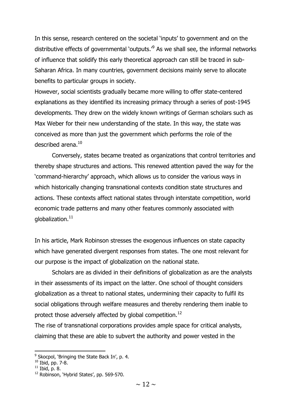In this sense, research centered on the societal 'inputs' to government and on the distributive effects of governmental 'outputs. $\beta$  As we shall see, the informal networks of influence that solidify this early theoretical approach can still be traced in sub-Saharan Africa. In many countries, government decisions mainly serve to allocate benefits to particular groups in society.

However, social scientists gradually became more willing to offer state-centered explanations as they identified its increasing primacy through a series of post-1945 developments. They drew on the widely known writings of German scholars such as Max Weber for their new understanding of the state. In this way, the state was conceived as more than just the government which performs the role of the described arena.<sup>10</sup>

Conversely, states became treated as organizations that control territories and thereby shape structures and actions. This renewed attention paved the way for the 'command-hierarchy' approach, which allows us to consider the various ways in which historically changing transnational contexts condition state structures and actions. These contexts affect national states through interstate competition, world economic trade patterns and many other features commonly associated with globalization. $11$ 

In his article, Mark Robinson stresses the exogenous influences on state capacity which have generated divergent responses from states. The one most relevant for our purpose is the impact of globalization on the national state.

Scholars are as divided in their definitions of globalization as are the analysts in their assessments of its impact on the latter. One school of thought considers globalization as a threat to national states, undermining their capacity to fulfil its social obligations through welfare measures and thereby rendering them inable to protect those adversely affected by global competition.<sup>12</sup>

The rise of transnational corporations provides ample space for critical analysts, claiming that these are able to subvert the authority and power vested in the

<sup>&</sup>lt;sup>9</sup> Skocpol, 'Bringing the State Back In', p. 4.

<sup>10</sup> Ibid, pp. 7-8.

 $11$  Ibid, p. 8.

<sup>&</sup>lt;sup>12</sup> Robinson, 'Hybrid States', pp. 569-570.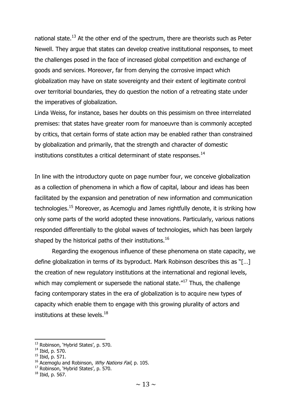national state.<sup>13</sup> At the other end of the spectrum, there are theorists such as Peter Newell. They argue that states can develop creative institutional responses, to meet the challenges posed in the face of increased global competition and exchange of goods and services. Moreover, far from denying the corrosive impact which globalization may have on state sovereignty and their extent of legitimate control over territorial boundaries, they do question the notion of a retreating state under the imperatives of globalization.

Linda Weiss, for instance, bases her doubts on this pessimism on three interrelated premises: that states have greater room for manoeuvre than is commonly accepted by critics, that certain forms of state action may be enabled rather than constrained by globalization and primarily, that the strength and character of domestic institutions constitutes a critical determinant of state responses. $14$ 

In line with the introductory quote on page number four, we conceive globalization as a collection of phenomena in which a flow of capital, labour and ideas has been facilitated by the expansion and penetration of new information and communication technologies.<sup>15</sup> Moreover, as Acemoglu and James rightfully denote, it is striking how only some parts of the world adopted these innovations. Particularly, various nations responded differentially to the global waves of technologies, which has been largely shaped by the historical paths of their institutions.<sup>16</sup>

Regarding the exogenous influence of these phenomena on state capacity, we define globalization in terms of its byproduct. Mark Robinson describes this as "[…] the creation of new regulatory institutions at the international and regional levels, which may complement or supersede the national state. $17$  Thus, the challenge facing contemporary states in the era of globalization is to acquire new types of capacity which enable them to engage with this growing plurality of actors and institutions at these levels. $^{18}$ 

<sup>&</sup>lt;sup>13</sup> Robinson, 'Hybrid States', p. 570.

<sup>14</sup> Ibid, p. 570.

 $15$  Ibid, p. 571.

 $16$  Acemoglu and Robinson, *Why Nations Fail*, p. 105.

<sup>&</sup>lt;sup>17</sup> Robinson, 'Hybrid States', p. 570.

 $18$  Ibid, p. 567.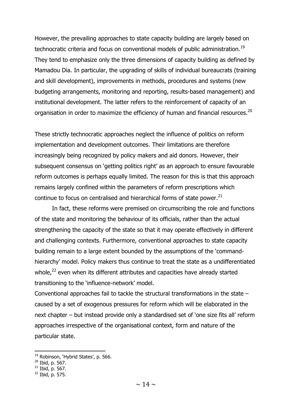However, the prevailing approaches to state capacity building are largely based on technocratic criteria and focus on conventional models of public administration.<sup>19</sup> They tend to emphasize only the three dimensions of capacity building as defined by Mamadou Dia. In particular, the upgrading of skills of individual bureaucrats (training and skill development), improvements in methods, procedures and systems (new budgeting arrangements, monitoring and reporting, results-based management) and institutional development. The latter refers to the reinforcement of capacity of an organisation in order to maximize the efficiency of human and financial resources.<sup>20</sup>

These strictly technocratic approaches neglect the influence of politics on reform implementation and development outcomes. Their limitations are therefore increasingly being recognized by policy makers and aid donors. However, their subsequent consensus on 'getting politics right' as an approach to ensure favourable reform outcomes is perhaps equally limited. The reason for this is that this approach remains largely confined within the parameters of reform prescriptions which continue to focus on centralised and hierarchical forms of state power.<sup>21</sup>

In fact, these reforms were premised on circumscribing the role and functions of the state and monitoring the behaviour of its officials, rather than the actual strengthening the capacity of the state so that it may operate effectively in different and challenging contexts. Furthermore, conventional approaches to state capacity building remain to a large extent bounded by the assumptions of the 'commandhierarchy' model. Policy makers thus continue to treat the state as a undifferentiated whole, $22$  even when its different attributes and capacities have already started transitioning to the 'influence-network' model.

Conventional approaches fail to tackle the structural transformations in the state – caused by a set of exogenous pressures for reform which will be elaborated in the next chapter – but instead provide only a standardised set of 'one size fits all' reform approaches irrespective of the organisational context, form and nature of the particular state.

<sup>&</sup>lt;sup>19</sup> Robinson, 'Hybrid States', p. 566.

 $20$  Ibid, p. 567.

 $21$  Ibid, p. 567.

 $22$  Ibid, p. 575.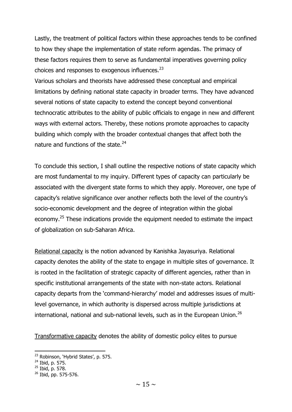Lastly, the treatment of political factors within these approaches tends to be confined to how they shape the implementation of state reform agendas. The primacy of these factors requires them to serve as fundamental imperatives governing policy choices and responses to exogenous influences.<sup>23</sup>

Various scholars and theorists have addressed these conceptual and empirical limitations by defining national state capacity in broader terms. They have advanced several notions of state capacity to extend the concept beyond conventional technocratic attributes to the ability of public officials to engage in new and different ways with external actors. Thereby, these notions promote approaches to capacity building which comply with the broader contextual changes that affect both the nature and functions of the state.<sup>24</sup>

To conclude this section, I shall outline the respective notions of state capacity which are most fundamental to my inquiry. Different types of capacity can particularly be associated with the divergent state forms to which they apply. Moreover, one type of capacity's relative significance over another reflects both the level of the country's socio-economic development and the degree of integration within the global economy.<sup>25</sup> These indications provide the equipment needed to estimate the impact of globalization on sub-Saharan Africa.

Relational capacity is the notion advanced by Kanishka Jayasuriya. Relational capacity denotes the ability of the state to engage in multiple sites of governance. It is rooted in the facilitation of strategic capacity of different agencies, rather than in specific institutional arrangements of the state with non-state actors. Relational capacity departs from the 'command-hierarchy' model and addresses issues of multilevel governance, in which authority is dispersed across multiple jurisdictions at international, national and sub-national levels, such as in the European Union.<sup>26</sup>

Transformative capacity denotes the ability of domestic policy elites to pursue

**<sup>.</sup>** <sup>23</sup> Robinson, 'Hybrid States', p. 575.

<sup>24</sup> Ibid, p. 575.

<sup>&</sup>lt;sup>25</sup> Ibid, p. 578.

<sup>26</sup> Ibid, pp. 575-576.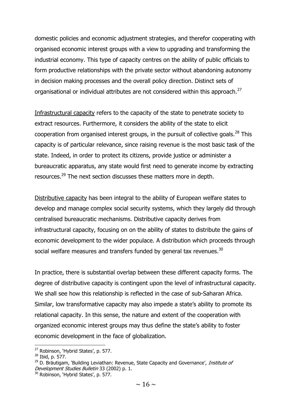domestic policies and economic adjustment strategies, and therefor cooperating with organised economic interest groups with a view to upgrading and transforming the industrial economy. This type of capacity centres on the ability of public officials to form productive relationships with the private sector without abandoning autonomy in decision making processes and the overall policy direction. Distinct sets of organisational or individual attributes are not considered within this approach.<sup>27</sup>

Infrastructural capacity refers to the capacity of the state to penetrate society to extract resources. Furthermore, it considers the ability of the state to elicit cooperation from organised interest groups, in the pursuit of collective goals. $^{28}$  This capacity is of particular relevance, since raising revenue is the most basic task of the state. Indeed, in order to protect its citizens, provide justice or administer a bureaucratic apparatus, any state would first need to generate income by extracting resources.<sup>29</sup> The next section discusses these matters more in depth.

Distributive capacity has been integral to the ability of European welfare states to develop and manage complex social security systems, which they largely did through centralised bureaucratic mechanisms. Distributive capacity derives from infrastructural capacity, focusing on on the ability of states to distribute the gains of economic development to the wider populace. A distribution which proceeds through social welfare measures and transfers funded by general tax revenues.<sup>30</sup>

In practice, there is substantial overlap between these different capacity forms. The degree of distributive capacity is contingent upon the level of infrastructural capacity. We shall see how this relationship is reflected in the case of sub-Saharan Africa. Similar, low transformative capacity may also impede a state's ability to promote its relational capacity. In this sense, the nature and extent of the cooperation with organized economic interest groups may thus define the state's ability to foster economic development in the face of globalization.

<sup>&</sup>lt;sup>27</sup> Robinson, 'Hybrid States', p. 577.

 $^{28}$  Ibid, p. 577.

<sup>&</sup>lt;sup>29</sup> D. Bräutigam, 'Building Leviathan: Revenue, State Capacity and Governance', *Institute of* Development Studies Bulletin 33 (2002) p. 1.

<sup>&</sup>lt;sup>30</sup> Robinson, 'Hybrid States', p. 577.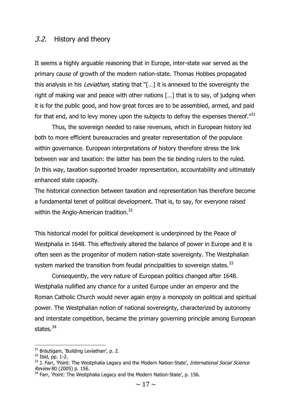#### 3.2. History and theory

It seems a highly arguable reasoning that in Europe, inter-state war served as the primary cause of growth of the modern nation-state. Thomas Hobbes propagated this analysis in his *Leviathan*, stating that "[...] it is annexed to the sovereignty the right of making war and peace with other nations […] that is to say, of judging when it is for the public good, and how great forces are to be assembled, armed, and paid for that end, and to levy money upon the subjects to defray the expenses thereof. $^{731}$ 

Thus, the sovereign needed to raise revenues, which in European history led both to more efficient bureaucracies and greater representation of the populace within governance. European interpretations of history therefore stress the link between war and taxation: the latter has been the tie binding rulers to the ruled. In this way, taxation supported broader representation, accountability and ultimately enhanced state capacity.

The historical connection between taxation and representation has therefore become a fundamental tenet of political development. That is, to say, for everyone raised within the Anglo-American tradition.<sup>32</sup>

This historical model for political development is underpinned by the Peace of Westphalia in 1648. This effectively altered the balance of power in Europe and it is often seen as the progenitor of modern nation-state sovereignty. The Westphalian system marked the transition from feudal principalities to sovereign states.<sup>33</sup>

Consequently, the very nature of European politics changed after 1648. Westphalia nullified any chance for a united Europe under an emperor and the Roman Catholic Church would never again enjoy a monopoly on political and spiritual power. The Westphalian notion of national sovereignty, characterized by autonomy and interstate competition, became the primary governing principle among European states.<sup>34</sup>

 $31$  Bräutigam, 'Building Leviathan', p. 2.

 $32$  Ibid, pp. 1-2.

<sup>&</sup>lt;sup>33</sup> J. Farr, 'Point: The Westphalia Legacy and the Modern Nation-State', *International Social Science* Review 80 (2005) p. 156.

<sup>&</sup>lt;sup>34</sup> Farr, 'Point: The Westphalia Legacy and the Modern Nation-State', p. 156.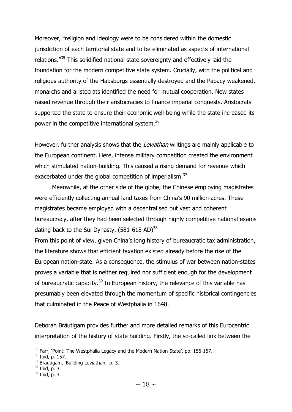Moreover, "religion and ideology were to be considered within the domestic jurisdiction of each territorial state and to be eliminated as aspects of international relations."<sup>35</sup> This solidified national state sovereignty and effectively laid the foundation for the modern competitive state system. Crucially, with the political and religious authority of the Habsburgs essentially destroyed and the Papacy weakened, monarchs and aristocrats identified the need for mutual cooperation. New states raised revenue through their aristocracies to finance imperial conquests. Aristocrats supported the state to ensure their economic well-being while the state increased its power in the competitive international system.<sup>36</sup>

However, further analysis shows that the *Leviathan* writings are mainly applicable to the European continent. Here, intense military competition created the environment which stimulated nation-building. This caused a rising demand for revenue which exacerbated under the global competition of imperialism.<sup>37</sup>

Meanwhile, at the other side of the globe, the Chinese employing magistrates were efficiently collecting annual land taxes from China's 90 million acres. These magistrates became employed with a decentralised but vast and coherent bureaucracy, after they had been selected through highly competitive national exams dating back to the Sui Dynasty.  $(581-618$  AD $)^{38}$ 

From this point of view, given China's long history of bureaucratic tax administration, the literature shows that efficient taxation existed already before the rise of the European nation-state. As a consequence, the stimulus of war between nation-states proves a variable that is neither required nor sufficient enough for the development of bureaucratic capacity.<sup>39</sup> In European history, the relevance of this variable has presumably been elevated through the momentum of specific historical contingencies that culminated in the Peace of Westphalia in 1648.

Deborah Bräutigam provides further and more detailed remarks of this Eurocentric interpretation of the history of state building. Firstly, the so-called link between the

 $35$  Farr, 'Point: The Westphalia Legacy and the Modern Nation-State', pp. 156-157.

<sup>36</sup> Ibid, p. 157.

<sup>&</sup>lt;sup>37</sup> Bräutigam, 'Building Leviathan', p. 3.

<sup>38</sup> Ibid, p. 3.

 $39$  Ibid, p. 3.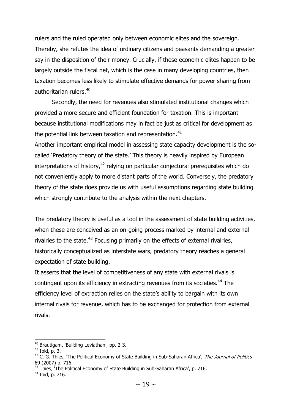rulers and the ruled operated only between economic elites and the sovereign. Thereby, she refutes the idea of ordinary citizens and peasants demanding a greater say in the disposition of their money. Crucially, if these economic elites happen to be largely outside the fiscal net, which is the case in many developing countries, then taxation becomes less likely to stimulate effective demands for power sharing from authoritarian rulers.<sup>40</sup>

Secondly, the need for revenues also stimulated institutional changes which provided a more secure and efficient foundation for taxation. This is important because institutional modifications may in fact be just as critical for development as the potential link between taxation and representation. $41$ 

Another important empirical model in assessing state capacity development is the socalled 'Predatory theory of the state.' This theory is heavily inspired by European interpretations of history, $42$  relying on particular conjectural prerequisites which do not conveniently apply to more distant parts of the world. Conversely, the predatory theory of the state does provide us with useful assumptions regarding state building which strongly contribute to the analysis within the next chapters.

The predatory theory is useful as a tool in the assessment of state building activities, when these are conceived as an on-going process marked by internal and external rivalries to the state.<sup>43</sup> Focusing primarily on the effects of external rivalries, historically conceptualized as interstate wars, predatory theory reaches a general expectation of state building.

It asserts that the level of competitiveness of any state with external rivals is contingent upon its efficiency in extracting revenues from its societies.<sup>44</sup> The efficiency level of extraction relies on the state's ability to bargain with its own internal rivals for revenue, which has to be exchanged for protection from external rivals.

 $40$  Bräutigam, 'Building Leviathan', pp. 2-3.

 $41$  Ibid, p. 3.

 $42$  C. G. Thies, 'The Political Economy of State Building in Sub-Saharan Africa', The Journal of Politics 69 (2007) p. 716.

<sup>&</sup>lt;sup>43</sup> Thies, The Political Economy of State Building in Sub-Saharan Africa', p. 716.

<sup>44</sup> Ibid, p. 716.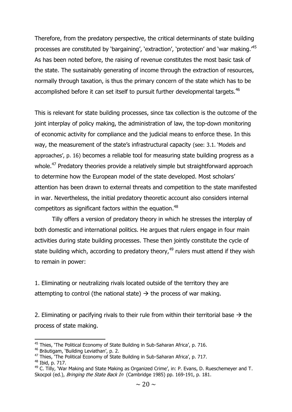Therefore, from the predatory perspective, the critical determinants of state building processes are constituted by 'bargaining', 'extraction', 'protection' and 'war making.'<sup>45</sup> As has been noted before, the raising of revenue constitutes the most basic task of the state. The sustainably generating of income through the extraction of resources, normally through taxation, is thus the primary concern of the state which has to be accomplished before it can set itself to pursuit further developmental targets.<sup>46</sup>

This is relevant for state building processes, since tax collection is the outcome of the joint interplay of policy making, the administration of law, the top-down monitoring of economic activity for compliance and the judicial means to enforce these. In this way, the measurement of the state's infrastructural capacity (see: 3.1. 'Models and approaches', p. 16) becomes a reliable tool for measuring state building progress as a whole.<sup>47</sup> Predatory theories provide a relatively simple but straightforward approach to determine how the European model of the state developed. Most scholars' attention has been drawn to external threats and competition to the state manifested in war. Nevertheless, the initial predatory theoretic account also considers internal competitors as significant factors within the equation.<sup>48</sup>

Tilly offers a version of predatory theory in which he stresses the interplay of both domestic and international politics. He argues that rulers engage in four main activities during state building processes. These then jointly constitute the cycle of state building which, according to predatory theory,  $49$  rulers must attend if they wish to remain in power:

1. Eliminating or neutralizing rivals located outside of the territory they are attempting to control (the national state)  $\rightarrow$  the process of war making.

2. Eliminating or pacifying rivals to their rule from within their territorial base  $\rightarrow$  the process of state making.

<sup>1</sup> <sup>45</sup> Thies, 'The Political Economy of State Building in Sub-Saharan Africa', p. 716.

<sup>46</sup> Bräutigam, 'Building Leviathan', p. 2.

 $47$  Thies, The Political Economy of State Building in Sub-Saharan Africa', p. 717.

<sup>48</sup> Ibid, p. 717.

 $49$  C. Tilly, 'War Making and State Making as Organized Crime', in: P. Evans, D. Rueschemeyer and T. Skocpol (ed.), *Bringing the State Back In* (Cambridge 1985) pp. 169-191, p. 181.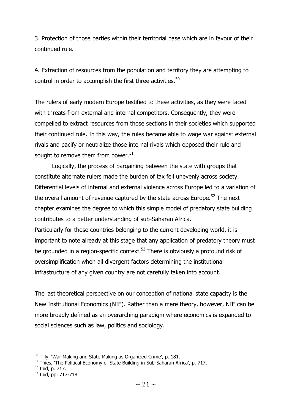3. Protection of those parties within their territorial base which are in favour of their continued rule.

4. Extraction of resources from the population and territory they are attempting to control in order to accomplish the first three activities.<sup>50</sup>

The rulers of early modern Europe testified to these activities, as they were faced with threats from external and internal competitors. Consequently, they were compelled to extract resources from those sections in their societies which supported their continued rule. In this way, the rules became able to wage war against external rivals and pacify or neutralize those internal rivals which opposed their rule and sought to remove them from power.<sup>51</sup>

Logically, the process of bargaining between the state with groups that constitute alternate rulers made the burden of tax fell unevenly across society. Differential levels of internal and external violence across Europe led to a variation of the overall amount of revenue captured by the state across Europe.<sup>52</sup> The next chapter examines the degree to which this simple model of predatory state building contributes to a better understanding of sub-Saharan Africa.

Particularly for those countries belonging to the current developing world, it is important to note already at this stage that any application of predatory theory must be grounded in a region-specific context.<sup>53</sup> There is obviously a profound risk of oversimplification when all divergent factors determining the institutional infrastructure of any given country are not carefully taken into account.

The last theoretical perspective on our conception of national state capacity is the New Institutional Economics (NIE). Rather than a mere theory, however, NIE can be more broadly defined as an overarching paradigm where economics is expanded to social sciences such as law, politics and sociology.

 $50$  Tilly, 'War Making and State Making as Organized Crime', p. 181.

<sup>&</sup>lt;sup>51</sup> Thies, 'The Political Economy of State Building in Sub-Saharan Africa', p. 717.

<sup>52</sup> Ibid, p. 717.

<sup>53</sup> Ibid, pp. 717-718.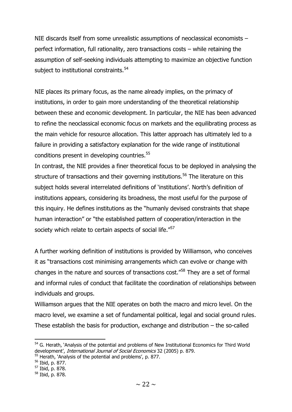NIE discards itself from some unrealistic assumptions of neoclassical economists – perfect information, full rationality, zero transactions costs – while retaining the assumption of self-seeking individuals attempting to maximize an objective function subject to institutional constraints.<sup>54</sup>

NIE places its primary focus, as the name already implies, on the primacy of institutions, in order to gain more understanding of the theoretical relationship between these and economic development. In particular, the NIE has been advanced to refine the neoclassical economic focus on markets and the equilibrating process as the main vehicle for resource allocation. This latter approach has ultimately led to a failure in providing a satisfactory explanation for the wide range of institutional conditions present in developing countries.<sup>55</sup>

In contrast, the NIE provides a finer theoretical focus to be deployed in analysing the structure of transactions and their governing institutions.<sup>56</sup> The literature on this subject holds several interrelated definitions of 'institutions'. North's definition of institutions appears, considering its broadness, the most useful for the purpose of this inquiry. He defines institutions as the "humanly devised constraints that shape human interaction" or "the established pattern of cooperation/interaction in the society which relate to certain aspects of social life."<sup>57</sup>

A further working definition of institutions is provided by Williamson, who conceives it as "transactions cost minimising arrangements which can evolve or change with changes in the nature and sources of transactions cost."<sup>58</sup> They are a set of formal and informal rules of conduct that facilitate the coordination of relationships between individuals and groups.

Williamson argues that the NIE operates on both the macro and micro level. On the macro level, we examine a set of fundamental political, legal and social ground rules. These establish the basis for production, exchange and distribution – the so-called

<sup>&</sup>lt;sup>54</sup> G. Herath, 'Analysis of the potential and problems of New Institutional Economics for Third World development', International Journal of Social Economics 32 (2005) p. 879.

<sup>&</sup>lt;sup>55</sup> Herath, `Analysis of the potential and problems', p. 877.

<sup>56</sup> Ibid, p. 877.

<sup>57</sup> Ibid, p. 878.

<sup>58</sup> Ibid, p. 878.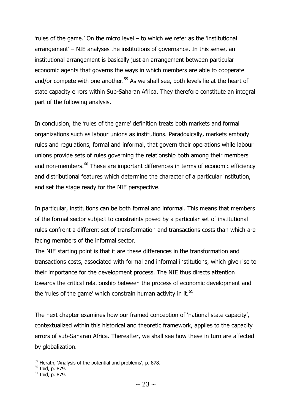'rules of the game.' On the micro level – to which we refer as the 'institutional arrangement' – NIE analyses the institutions of governance. In this sense, an institutional arrangement is basically just an arrangement between particular economic agents that governs the ways in which members are able to cooperate and/or compete with one another.<sup>59</sup> As we shall see, both levels lie at the heart of state capacity errors within Sub-Saharan Africa. They therefore constitute an integral part of the following analysis.

In conclusion, the 'rules of the game' definition treats both markets and formal organizations such as labour unions as institutions. Paradoxically, markets embody rules and regulations, formal and informal, that govern their operations while labour unions provide sets of rules governing the relationship both among their members and non-members.<sup>60</sup> These are important differences in terms of economic efficiency and distributional features which determine the character of a particular institution, and set the stage ready for the NIE perspective.

In particular, institutions can be both formal and informal. This means that members of the formal sector subject to constraints posed by a particular set of institutional rules confront a different set of transformation and transactions costs than which are facing members of the informal sector.

The NIE starting point is that it are these differences in the transformation and transactions costs, associated with formal and informal institutions, which give rise to their importance for the development process. The NIE thus directs attention towards the critical relationship between the process of economic development and the 'rules of the game' which constrain human activity in it.<sup>61</sup>

The next chapter examines how our framed conception of 'national state capacity', contextualized within this historical and theoretic framework, applies to the capacity errors of sub-Saharan Africa. Thereafter, we shall see how these in turn are affected by globalization.

<sup>&</sup>lt;sup>59</sup> Herath, `Analysis of the potential and problems', p. 878.

<sup>&</sup>lt;sup>60</sup> Ibid, p. 879.

 $61$  Ibid, p. 879.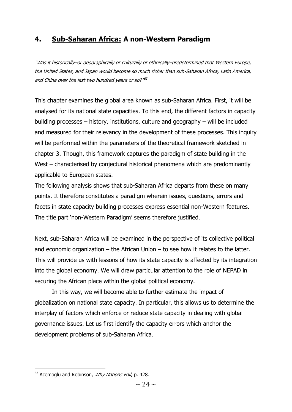# **4. Sub-Saharan Africa: A non-Western Paradigm**

"Was it historically–or geographically or culturally or ethnically–predetermined that Western Europe, the United States, and Japan would become so much richer than sub-Saharan Africa, Latin America, and China over the last two hundred years or so?"<sup>62</sup>

This chapter examines the global area known as sub-Saharan Africa. First, it will be analysed for its national state capacities. To this end, the different factors in capacity building processes – history, institutions, culture and geography – will be included and measured for their relevancy in the development of these processes. This inquiry will be performed within the parameters of the theoretical framework sketched in chapter 3. Though, this framework captures the paradigm of state building in the West – characterised by conjectural historical phenomena which are predominantly applicable to European states.

The following analysis shows that sub-Saharan Africa departs from these on many points. It therefore constitutes a paradigm wherein issues, questions, errors and facets in state capacity building processes express essential non-Western features. The title part 'non-Western Paradigm' seems therefore justified.

Next, sub-Saharan Africa will be examined in the perspective of its collective political and economic organization – the African Union – to see how it relates to the latter. This will provide us with lessons of how its state capacity is affected by its integration into the global economy. We will draw particular attention to the role of NEPAD in securing the African place within the global political economy.

In this way, we will become able to further estimate the impact of globalization on national state capacity. In particular, this allows us to determine the interplay of factors which enforce or reduce state capacity in dealing with global governance issues. Let us first identify the capacity errors which anchor the development problems of sub-Saharan Africa.

 $62$  Acemoglu and Robinson, *Why Nations Fail*, p. 428.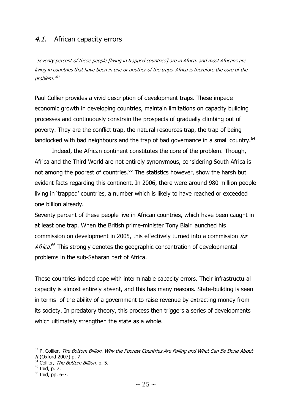### 4.1. African capacity errors

"Seventy percent of these people [living in trapped countries] are in Africa, and most Africans are living in countries that have been in one or another of the traps. Africa is therefore the core of the problem."<sup>63</sup>

Paul Collier provides a vivid description of development traps. These impede economic growth in developing countries, maintain limitations on capacity building processes and continuously constrain the prospects of gradually climbing out of poverty. They are the conflict trap, the natural resources trap, the trap of being landlocked with bad neighbours and the trap of bad governance in a small country.<sup>64</sup>

Indeed, the African continent constitutes the core of the problem. Though, Africa and the Third World are not entirely synonymous, considering South Africa is not among the poorest of countries.<sup>65</sup> The statistics however, show the harsh but evident facts regarding this continent. In 2006, there were around 980 million people living in 'trapped' countries, a number which is likely to have reached or exceeded one billion already.

Seventy percent of these people live in African countries, which have been caught in at least one trap. When the British prime-minister Tony Blair launched his commission on development in 2005, this effectively turned into a commission for Africa.<sup>66</sup> This strongly denotes the geographic concentration of developmental problems in the sub-Saharan part of Africa.

These countries indeed cope with interminable capacity errors. Their infrastructural capacity is almost entirely absent, and this has many reasons. State-building is seen in terms of the ability of a government to raise revenue by extracting money from its society. In predatory theory, this process then triggers a series of developments which ultimately strengthen the state as a whole.

 $63$  P. Collier, The Bottom Billion. Why the Poorest Countries Are Failing and What Can Be Done About It (Oxford 2007) p. 7.

 $64$  Collier, The Bottom Billion, p. 5.

<sup>65</sup> Ibid, p. 7.

 $66$  Ibid, pp. 6-7.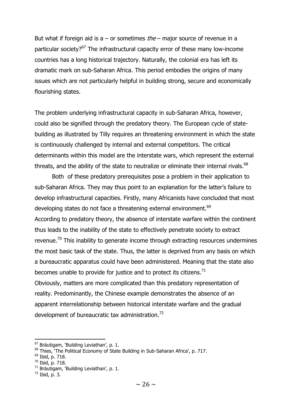But what if foreign aid is a – or sometimes  $the$  – major source of revenue in a particular society?<sup>67</sup> The infrastructural capacity error of these many low-income countries has a long historical trajectory. Naturally, the colonial era has left its dramatic mark on sub-Saharan Africa. This period embodies the origins of many issues which are not particularly helpful in building strong, secure and economically flourishing states.

The problem underlying infrastructural capacity in sub-Saharan Africa, however, could also be signified through the predatory theory. The European cycle of statebuilding as illustrated by Tilly requires an threatening environment in which the state is continuously challenged by internal and external competitors. The critical determinants within this model are the interstate wars, which represent the external threats, and the ability of the state to neutralize or eliminate their internal rivals. $^{68}$ 

Both of these predatory prerequisites pose a problem in their application to sub-Saharan Africa. They may thus point to an explanation for the latter's failure to develop infrastructural capacities. Firstly, many Africanists have concluded that most developing states do not face a threatening external environment.<sup>69</sup> According to predatory theory, the absence of interstate warfare within the continent thus leads to the inability of the state to effectively penetrate society to extract revenue.<sup>70</sup> This inability to generate income through extracting resources undermines the most basic task of the state. Thus, the latter is deprived from any basis on which a bureaucratic apparatus could have been administered. Meaning that the state also becomes unable to provide for justice and to protect its citizens.<sup>71</sup> Obviously, matters are more complicated than this predatory representation of reality. Predominantly, the Chinese example demonstrates the absence of an apparent interrelationship between historical interstate warfare and the gradual development of bureaucratic tax administration.<sup>72</sup>

 $67$  Bräutigam, 'Building Leviathan', p. 1.

<sup>&</sup>lt;sup>68</sup> Thies, 'The Political Economy of State Building in Sub-Saharan Africa', p. 717.

 $69$  Ibid, p. 718.

<sup>70</sup> Ibid, p. 718.

<sup>&</sup>lt;sup>71</sup> Bräutigam, 'Building Leviathan', p. 1.

 $72$  Ibid, p. 3.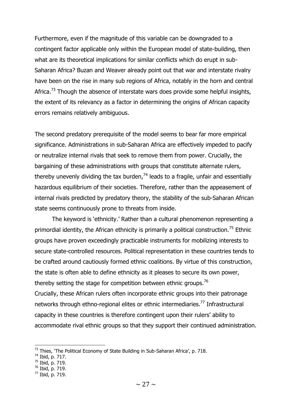Furthermore, even if the magnitude of this variable can be downgraded to a contingent factor applicable only within the European model of state-building, then what are its theoretical implications for similar conflicts which do erupt in sub-Saharan Africa? Buzan and Weaver already point out that war and interstate rivalry have been on the rise in many sub regions of Africa, notably in the horn and central Africa.<sup>73</sup> Though the absence of interstate wars does provide some helpful insights, the extent of its relevancy as a factor in determining the origins of African capacity errors remains relatively ambiguous.

The second predatory prerequisite of the model seems to bear far more empirical significance. Administrations in sub-Saharan Africa are effectively impeded to pacify or neutralize internal rivals that seek to remove them from power. Crucially, the bargaining of these administrations with groups that constitute alternate rulers, thereby unevenly dividing the tax burden,  $74$  leads to a fragile, unfair and essentially hazardous equilibrium of their societies. Therefore, rather than the appeasement of internal rivals predicted by predatory theory, the stability of the sub-Saharan African state seems continuously prone to threats from inside.

The keyword is 'ethnicity.' Rather than a cultural phenomenon representing a primordial identity, the African ethnicity is primarily a political construction.<sup>75</sup> Ethnic groups have proven exceedingly practicable instruments for mobilizing interests to secure state-controlled resources. Political representation in these countries tends to be crafted around cautiously formed ethnic coalitions. By virtue of this construction, the state is often able to define ethnicity as it pleases to secure its own power, thereby setting the stage for competition between ethnic groups.<sup>76</sup> Crucially, these African rulers often incorporate ethnic groups into their patronage networks through ethno-regional elites or ethnic intermediaries.<sup>77</sup> Infrastructural capacity in these countries is therefore contingent upon their rulers' ability to accommodate rival ethnic groups so that they support their continued administration.

 $\overline{a}$ 

 $75$  Ibid, p. 719.

 $^{73}$  Thies, 'The Political Economy of State Building in Sub-Saharan Africa', p. 718.

<sup>74</sup> Ibid, p. 717.

<sup>76</sup> Ibid, p. 719.

<sup>77</sup> Ibid, p. 719.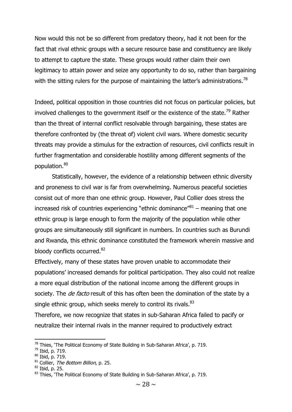Now would this not be so different from predatory theory, had it not been for the fact that rival ethnic groups with a secure resource base and constituency are likely to attempt to capture the state. These groups would rather claim their own legitimacy to attain power and seize any opportunity to do so, rather than bargaining with the sitting rulers for the purpose of maintaining the latter's administrations.<sup>78</sup>

Indeed, political opposition in those countries did not focus on particular policies, but involved challenges to the government itself or the existence of the state.<sup>79</sup> Rather than the threat of internal conflict resolvable through bargaining, these states are therefore confronted by (the threat of) violent civil wars. Where domestic security threats may provide a stimulus for the extraction of resources, civil conflicts result in further fragmentation and considerable hostility among different segments of the population.<sup>80</sup>

Statistically, however, the evidence of a relationship between ethnic diversity and proneness to civil war is far from overwhelming. Numerous peaceful societies consist out of more than one ethnic group. However, Paul Collier does stress the increased risk of countries experiencing "ethnic dominance" $81$  – meaning that one ethnic group is large enough to form the majority of the population while other groups are simultaneously still significant in numbers. In countries such as Burundi and Rwanda, this ethnic dominance constituted the framework wherein massive and bloody conflicts occurred.<sup>82</sup>

Effectively, many of these states have proven unable to accommodate their populations' increased demands for political participation. They also could not realize a more equal distribution of the national income among the different groups in society. The *de facto* result of this has often been the domination of the state by a single ethnic group, which seeks merely to control its rivals. $83$ 

Therefore, we now recognize that states in sub-Saharan Africa failed to pacify or neutralize their internal rivals in the manner required to productively extract

 $78$  Thies, 'The Political Economy of State Building in Sub-Saharan Africa', p. 719.

<sup>79</sup> Ibid, p. 719.

<sup>80</sup> Ibid, p. 719.

 $81$  Collier, The Bottom Billion, p. 25.

<sup>82</sup> Ibid, p. 25.

<sup>&</sup>lt;sup>83</sup> Thies, 'The Political Economy of State Building in Sub-Saharan Africa', p. 719.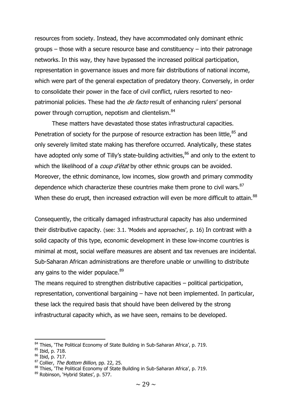resources from society. Instead, they have accommodated only dominant ethnic groups – those with a secure resource base and constituency – into their patronage networks. In this way, they have bypassed the increased political participation, representation in governance issues and more fair distributions of national income, which were part of the general expectation of predatory theory. Conversely, in order to consolidate their power in the face of civil conflict, rulers resorted to neopatrimonial policies. These had the *de facto* result of enhancing rulers' personal power through corruption, nepotism and clientelism.<sup>84</sup>

These matters have devastated those states infrastructural capacities. Penetration of society for the purpose of resource extraction has been little, $85$  and only severely limited state making has therefore occurred. Analytically, these states have adopted only some of Tilly's state-building activities,<sup>86</sup> and only to the extent to which the likelihood of a *coup d'état* by other ethnic groups can be avoided. Moreover, the ethnic dominance, low incomes, slow growth and primary commodity dependence which characterize these countries make them prone to civil wars.<sup>87</sup> When these do erupt, then increased extraction will even be more difficult to attain.<sup>88</sup>

Consequently, the critically damaged infrastructural capacity has also undermined their distributive capacity. (see: 3.1. 'Models and approaches', p. 16) In contrast with a solid capacity of this type, economic development in these low-income countries is minimal at most, social welfare measures are absent and tax revenues are incidental. Sub-Saharan African administrations are therefore unable or unwilling to distribute any gains to the wider populace. 89

The means required to strengthen distributive capacities – political participation, representation, conventional bargaining – have not been implemented. In particular, these lack the required basis that should have been delivered by the strong infrastructural capacity which, as we have seen, remains to be developed.

<sup>84</sup> Thies, 'The Political Economy of State Building in Sub-Saharan Africa', p. 719.

<sup>85</sup> Ibid, p. 718.

<sup>86</sup> Ibid, p. 717.

<sup>&</sup>lt;sup>87</sup> Collier, *The Bottom Billion*, pp. 22, 25.

<sup>88</sup> Thies, 'The Political Economy of State Building in Sub-Saharan Africa', p. 719.

<sup>89</sup> Robinson, 'Hybrid States', p. 577.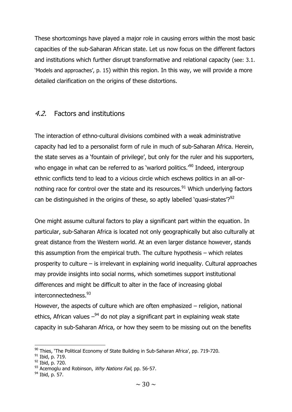These shortcomings have played a major role in causing errors within the most basic capacities of the sub-Saharan African state. Let us now focus on the different factors and institutions which further disrupt transformative and relational capacity (see: 3.1. 'Models and approaches', p. 15) within this region. In this way, we will provide a more detailed clarification on the origins of these distortions.

# 4.2. Factors and institutions

The interaction of ethno-cultural divisions combined with a weak administrative capacity had led to a personalist form of rule in much of sub-Saharan Africa. Herein, the state serves as a 'fountain of privilege', but only for the ruler and his supporters, who engage in what can be referred to as 'warlord politics.<sup>'90</sup> Indeed, intergroup ethnic conflicts tend to lead to a vicious circle which eschews politics in an all-ornothing race for control over the state and its resources.<sup>91</sup> Which underlying factors can be distinguished in the origins of these, so aptly labelled 'quasi-states'? $92$ 

One might assume cultural factors to play a significant part within the equation. In particular, sub-Saharan Africa is located not only geographically but also culturally at great distance from the Western world. At an even larger distance however, stands this assumption from the empirical truth. The culture hypothesis – which relates prosperity to culture – is irrelevant in explaining world inequality. Cultural approaches may provide insights into social norms, which sometimes support institutional differences and might be difficult to alter in the face of increasing global interconnectedness.<sup>93</sup>

However, the aspects of culture which are often emphasized – religion, national ethics, African values  $-94$  do not play a significant part in explaining weak state capacity in sub-Saharan Africa, or how they seem to be missing out on the benefits

 $\overline{\phantom{a}}$  $90$  Thies, 'The Political Economy of State Building in Sub-Saharan Africa', pp. 719-720.

<sup>91</sup> Ibid, p. 719.

<sup>92</sup> Ibid, p. 720.

 $93$  Acemoglu and Robinson, *Why Nations Fail*, pp. 56-57.

 $94$  Ibid, p. 57.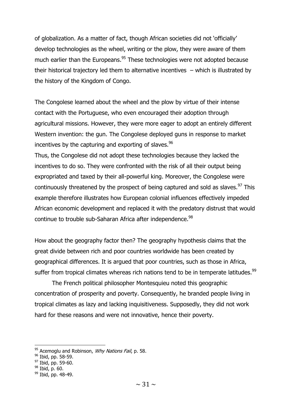of globalization. As a matter of fact, though African societies did not 'officially' develop technologies as the wheel, writing or the plow, they were aware of them much earlier than the Europeans.<sup>95</sup> These technologies were not adopted because their historical trajectory led them to alternative incentives – which is illustrated by the history of the Kingdom of Congo.

The Congolese learned about the wheel and the plow by virtue of their intense contact with the Portuguese, who even encouraged their adoption through agricultural missions. However, they were more eager to adopt an entirely different Western invention: the gun. The Congolese deployed guns in response to market incentives by the capturing and exporting of slaves.  $96$ 

Thus, the Congolese did not adopt these technologies because they lacked the incentives to do so. They were confronted with the risk of all their output being expropriated and taxed by their all-powerful king. Moreover, the Congolese were continuously threatened by the prospect of being captured and sold as slaves.<sup>97</sup> This example therefore illustrates how European colonial influences effectively impeded African economic development and replaced it with the predatory distrust that would continue to trouble sub-Saharan Africa after independence.<sup>98</sup>

How about the geography factor then? The geography hypothesis claims that the great divide between rich and poor countries worldwide has been created by geographical differences. It is argued that poor countries, such as those in Africa, suffer from tropical climates whereas rich nations tend to be in temperate latitudes.<sup>99</sup>

The French political philosopher Montesquieu noted this geographic concentration of prosperity and poverty. Consequently, he branded people living in tropical climates as lazy and lacking inquisitiveness. Supposedly, they did not work hard for these reasons and were not innovative, hence their poverty.

 $97$  Ibid, pp. 59-60.

 $\overline{\phantom{a}}$ 

 $95$  Acemoglu and Robinson, *Why Nations Fail*, p. 58.

 $96$  Ibid, pp. 58-59.

<sup>98</sup> Ibid, p. 60.

<sup>&</sup>lt;sup>99</sup> Ibid, pp. 48-49.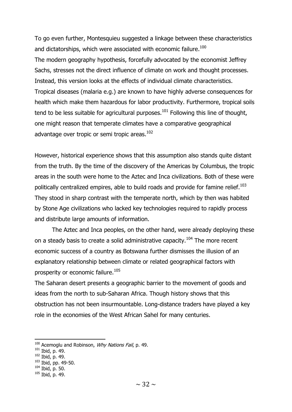To go even further, Montesquieu suggested a linkage between these characteristics and dictatorships, which were associated with economic failure.<sup>100</sup> The modern geography hypothesis, forcefully advocated by the economist Jeffrey Sachs, stresses not the direct influence of climate on work and thought processes. Instead, this version looks at the effects of individual climate characteristics. Tropical diseases (malaria e.g.) are known to have highly adverse consequences for health which make them hazardous for labor productivity. Furthermore, tropical soils tend to be less suitable for agricultural purposes.<sup>101</sup> Following this line of thought, one might reason that temperate climates have a comparative geographical advantage over tropic or semi tropic areas.<sup>102</sup>

However, historical experience shows that this assumption also stands quite distant from the truth. By the time of the discovery of the Americas by Columbus, the tropic areas in the south were home to the Aztec and Inca civilizations. Both of these were politically centralized empires, able to build roads and provide for famine relief.<sup>103</sup> They stood in sharp contrast with the temperate north, which by then was habited by Stone Age civilizations who lacked key technologies required to rapidly process and distribute large amounts of information.

The Aztec and Inca peoples, on the other hand, were already deploying these on a steady basis to create a solid administrative capacity.<sup>104</sup> The more recent economic success of a country as Botswana further dismisses the illusion of an explanatory relationship between climate or related geographical factors with prosperity or economic failure.<sup>105</sup>

The Saharan desert presents a geographic barrier to the movement of goods and ideas from the north to sub-Saharan Africa. Though history shows that this obstruction has not been insurmountable. Long-distance traders have played a key role in the economies of the West African Sahel for many centuries.

1

<sup>103</sup> Ibid, pp. 49-50.

 $100$  Acemoglu and Robinson, *Why Nations Fail*, p. 49.

 $101$  Ibid, p. 49.

 $102$  Ibid, p. 49.

<sup>104</sup> Ibid, p. 50.

<sup>105</sup> Ibid, p. 49.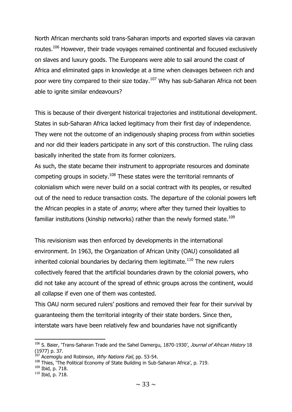North African merchants sold trans-Saharan imports and exported slaves via caravan routes.<sup>106</sup> However, their trade voyages remained continental and focused exclusively on slaves and luxury goods. The Europeans were able to sail around the coast of Africa and eliminated gaps in knowledge at a time when cleavages between rich and poor were tiny compared to their size today.<sup>107</sup> Why has sub-Saharan Africa not been able to ignite similar endeavours?

This is because of their divergent historical trajectories and institutional development. States in sub-Saharan Africa lacked legitimacy from their first day of independence. They were not the outcome of an indigenously shaping process from within societies and nor did their leaders participate in any sort of this construction. The ruling class basically inherited the state from its former colonizers.

As such, the state became their instrument to appropriate resources and dominate competing groups in society.<sup>108</sup> These states were the territorial remnants of colonialism which were never build on a social contract with its peoples, or resulted out of the need to reduce transaction costs. The departure of the colonial powers left the African peoples in a state of *anomy*, where after they turned their loyalties to familiar institutions (kinship networks) rather than the newly formed state.<sup>109</sup>

This revisionism was then enforced by developments in the international environment. In 1963, the Organization of African Unity (OAU) consolidated all inherited colonial boundaries by declaring them legitimate.<sup>110</sup> The new rulers collectively feared that the artificial boundaries drawn by the colonial powers, who did not take any account of the spread of ethnic groups across the continent, would all collapse if even one of them was contested.

This OAU norm secured rulers' positions and removed their fear for their survival by guaranteeing them the territorial integrity of their state borders. Since then, interstate wars have been relatively few and boundaries have not significantly

<sup>&</sup>lt;sup>106</sup> S. Baier, 'Trans-Saharan Trade and the Sahel Damergu, 1870-1930', Journal of African History 18 (1977) p. 37.

 $^{107}$  Acemoglu and Robinson, *Why Nations Fail*, pp. 53-54.

<sup>&</sup>lt;sup>108</sup> Thies, 'The Political Economy of State Building in Sub-Saharan Africa', p. 719.

<sup>109</sup> Ibid, p. 718.

<sup>110</sup> Ibid, p. 718.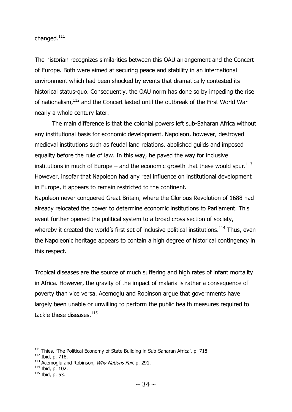changed.<sup>111</sup>

The historian recognizes similarities between this OAU arrangement and the Concert of Europe. Both were aimed at securing peace and stability in an international environment which had been shocked by events that dramatically contested its historical status-quo. Consequently, the OAU norm has done so by impeding the rise of nationalism,<sup>112</sup> and the Concert lasted until the outbreak of the First World War nearly a whole century later.

The main difference is that the colonial powers left sub-Saharan Africa without any institutional basis for economic development. Napoleon, however, destroyed medieval institutions such as feudal land relations, abolished guilds and imposed equality before the rule of law. In this way, he paved the way for inclusive institutions in much of Europe – and the economic growth that these would spur.<sup>113</sup> However, insofar that Napoleon had any real influence on institutional development in Europe, it appears to remain restricted to the continent.

Napoleon never conquered Great Britain, where the Glorious Revolution of 1688 had already relocated the power to determine economic institutions to Parliament. This event further opened the political system to a broad cross section of society, whereby it created the world's first set of inclusive political institutions.<sup>114</sup> Thus, even the Napoleonic heritage appears to contain a high degree of historical contingency in this respect.

Tropical diseases are the source of much suffering and high rates of infant mortality in Africa. However, the gravity of the impact of malaria is rather a consequence of poverty than vice versa. Acemoglu and Robinson argue that governments have largely been unable or unwilling to perform the public health measures required to tackle these diseases.<sup>115</sup>

 $\overline{\phantom{a}}$ 

 $111$  Thies, 'The Political Economy of State Building in Sub-Saharan Africa', p. 718.

<sup>112</sup> Ibid, p. 718.

 $113$  Acemoglu and Robinson, *Why Nations Fail*, p. 291.

<sup>114</sup> Ibid, p. 102.

 $115$  Ibid, p. 53.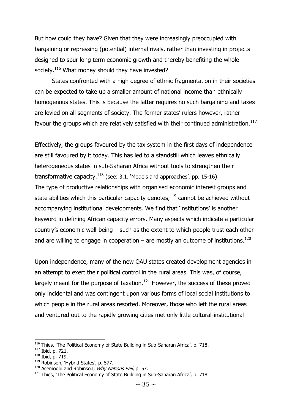But how could they have? Given that they were increasingly preoccupied with bargaining or repressing (potential) internal rivals, rather than investing in projects designed to spur long term economic growth and thereby benefiting the whole society.<sup>116</sup> What money should they have invested?

States confronted with a high degree of ethnic fragmentation in their societies can be expected to take up a smaller amount of national income than ethnically homogenous states. This is because the latter requires no such bargaining and taxes are levied on all segments of society. The former states' rulers however, rather favour the groups which are relatively satisfied with their continued administration.<sup>117</sup>

Effectively, the groups favoured by the tax system in the first days of independence are still favoured by it today. This has led to a standstill which leaves ethnically heterogeneous states in sub-Saharan Africa without tools to strengthen their transformative capacity. $118$  (see: 3.1. 'Models and approaches', pp. 15-16) The type of productive relationships with organised economic interest groups and state abilities which this particular capacity denotes,<sup>119</sup> cannot be achieved without accompanying institutional developments. We find that 'institutions' is another keyword in defining African capacity errors. Many aspects which indicate a particular country's economic well-being – such as the extent to which people trust each other and are willing to engage in cooperation – are mostly an outcome of institutions.<sup>120</sup>

Upon independence, many of the new OAU states created development agencies in an attempt to exert their political control in the rural areas. This was, of course, largely meant for the purpose of taxation. $121$  However, the success of these proved only incidental and was contingent upon various forms of local social institutions to which people in the rural areas resorted. Moreover, those who left the rural areas and ventured out to the rapidly growing cities met only little cultural-institutional

<sup>116</sup> Thies, 'The Political Economy of State Building in Sub-Saharan Africa', p. 718.

<sup>117</sup> Ibid, p. 721.

<sup>118</sup> Ibid, p. 719.

<sup>119</sup> Robinson, 'Hybrid States', p. 577.

 $120$  Acemoglu and Robinson, Why Nations Fail, p. 57.

 $121$  Thies, The Political Economy of State Building in Sub-Saharan Africa', p. 718.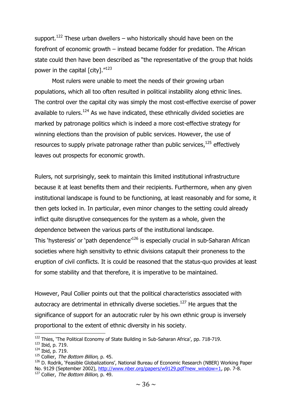support.<sup>122</sup> These urban dwellers – who historically should have been on the forefront of economic growth – instead became fodder for predation. The African state could then have been described as "the representative of the group that holds power in the capital  $\lceil$  city]. $''^{123}$ 

Most rulers were unable to meet the needs of their growing urban populations, which all too often resulted in political instability along ethnic lines. The control over the capital city was simply the most cost-effective exercise of power available to rulers.<sup>124</sup> As we have indicated, these ethnically divided societies are marked by patronage politics which is indeed a more cost-effective strategy for winning elections than the provision of public services. However, the use of resources to supply private patronage rather than public services,  $^{125}$  effectively leaves out prospects for economic growth.

Rulers, not surprisingly, seek to maintain this limited institutional infrastructure because it at least benefits them and their recipients. Furthermore, when any given institutional landscape is found to be functioning, at least reasonably and for some, it then gets locked in. In particular, even minor changes to the setting could already inflict quite disruptive consequences for the system as a whole, given the dependence between the various parts of the institutional landscape. This 'hysteresis' or 'path dependence'<sup>126</sup> is especially crucial in sub-Saharan African societies where high sensitivity to ethnic divisions catapult their proneness to the eruption of civil conflicts. It is could be reasoned that the status-quo provides at least for some stability and that therefore, it is imperative to be maintained.

However, Paul Collier points out that the political characteristics associated with autocracy are detrimental in ethnically diverse societies.<sup>127</sup> He argues that the significance of support for an autocratic ruler by his own ethnic group is inversely proportional to the extent of ethnic diversity in his society.

**.** 

 $125$  Collier, The Bottom Billion, p. 45.

<sup>&</sup>lt;sup>122</sup> Thies, 'The Political Economy of State Building in Sub-Saharan Africa', pp. 718-719.

<sup>123</sup> Ibid, p. 719.

<sup>124</sup> Ibid, p. 719.

<sup>&</sup>lt;sup>126</sup> D. Rodrik, 'Feasible Globalizations', National Bureau of Economic Research (NBER) Working Paper No. 9129 (September 2002), [http://www.nber.org/papers/w9129.pdf?new\\_window=1,](http://www.nber.org/papers/w9129.pdf?new_window=1) pp. 7-8. <sup>127</sup> Collier, *The Bottom Billion*, p. 49.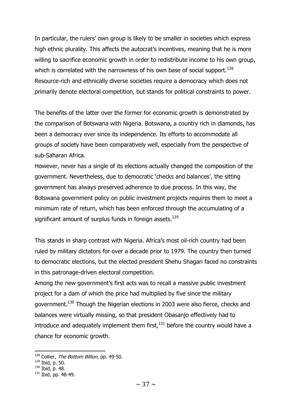In particular, the rulers' own group is likely to be smaller in societies which express high ethnic plurality. This affects the autocrat's incentives, meaning that he is more willing to sacrifice economic growth in order to redistribute income to his own group, which is correlated with the narrowness of his own base of social support.<sup>128</sup> Resource-rich and ethnically diverse societies require a democracy which does not primarily denote electoral competition, but stands for political constraints to power.

The benefits of the latter over the former for economic growth is demonstrated by the comparison of Botswana with Nigeria. Botswana, a country rich in diamonds, has been a democracy ever since its independence. Its efforts to accommodate all groups of society have been comparatively well, especially from the perspective of sub-Saharan Africa.

However, never has a single of its elections actually changed the composition of the government. Nevertheless, due to democratic 'checks and balances', the sitting government has always preserved adherence to due process. In this way, the Botswana government policy on public investment projects requires them to meet a minimum rate of return, which has been enforced through the accumulating of a significant amount of surplus funds in foreign assets.<sup>129</sup>

This stands in sharp contrast with Nigeria. Africa's most oil-rich country had been ruled by military dictators for over a decade prior to 1979. The country then turned to democratic elections, but the elected president Shehu Shagari faced no constraints in this patronage-driven electoral competition.

Among the new government's first acts was to recall a massive public investment project for a dam of which the price had multiplied by five since the military government.<sup>130</sup> Though the Nigerian elections in 2003 were also fierce, checks and balances were virtually missing, so that president Obasanjo effectively had to introduce and adequately implement them first, $131$  before the country would have a chance for economic growth.

**<sup>.</sup>** <sup>128</sup> Collier, The Bottom Billion, pp. 49-50.

<sup>129</sup> Ibid, p. 50.

<sup>130</sup> Ibid, p. 48.

 $131$  Ibid, pp. 48-49.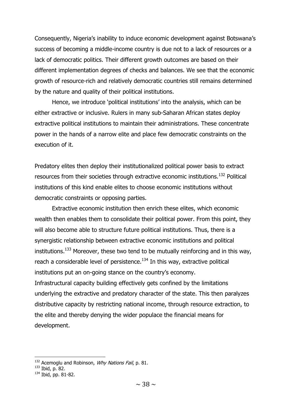Consequently, Nigeria's inability to induce economic development against Botswana's success of becoming a middle-income country is due not to a lack of resources or a lack of democratic politics. Their different growth outcomes are based on their different implementation degrees of checks and balances. We see that the economic growth of resource-rich and relatively democratic countries still remains determined by the nature and quality of their political institutions.

Hence, we introduce 'political institutions' into the analysis, which can be either extractive or inclusive. Rulers in many sub-Saharan African states deploy extractive political institutions to maintain their administrations. These concentrate power in the hands of a narrow elite and place few democratic constraints on the execution of it.

Predatory elites then deploy their institutionalized political power basis to extract resources from their societies through extractive economic institutions.<sup>132</sup> Political institutions of this kind enable elites to choose economic institutions without democratic constraints or opposing parties.

Extractive economic institution then enrich these elites, which economic wealth then enables them to consolidate their political power. From this point, they will also become able to structure future political institutions. Thus, there is a synergistic relationship between extractive economic institutions and political institutions.<sup>133</sup> Moreover, these two tend to be mutually reinforcing and in this way, reach a considerable level of persistence.<sup>134</sup> In this way, extractive political institutions put an on-going stance on the country's economy. Infrastructural capacity building effectively gets confined by the limitations underlying the extractive and predatory character of the state. This then paralyzes distributive capacity by restricting national income, through resource extraction, to the elite and thereby denying the wider populace the financial means for development.

<sup>&</sup>lt;sup>132</sup> Acemoglu and Robinson, Why Nations Fail, p. 81.

<sup>133</sup> Ibid, p. 82.

<sup>134</sup> Ibid, pp. 81-82.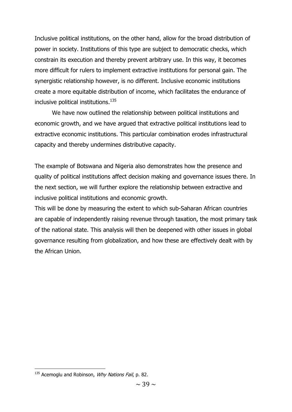Inclusive political institutions, on the other hand, allow for the broad distribution of power in society. Institutions of this type are subject to democratic checks, which constrain its execution and thereby prevent arbitrary use. In this way, it becomes more difficult for rulers to implement extractive institutions for personal gain. The synergistic relationship however, is no different. Inclusive economic institutions create a more equitable distribution of income, which facilitates the endurance of inclusive political institutions.<sup>135</sup>

We have now outlined the relationship between political institutions and economic growth, and we have argued that extractive political institutions lead to extractive economic institutions. This particular combination erodes infrastructural capacity and thereby undermines distributive capacity.

The example of Botswana and Nigeria also demonstrates how the presence and quality of political institutions affect decision making and governance issues there. In the next section, we will further explore the relationship between extractive and inclusive political institutions and economic growth.

This will be done by measuring the extent to which sub-Saharan African countries are capable of independently raising revenue through taxation, the most primary task of the national state. This analysis will then be deepened with other issues in global governance resulting from globalization, and how these are effectively dealt with by the African Union.

 $135$  Acemoglu and Robinson, *Why Nations Fail*, p. 82.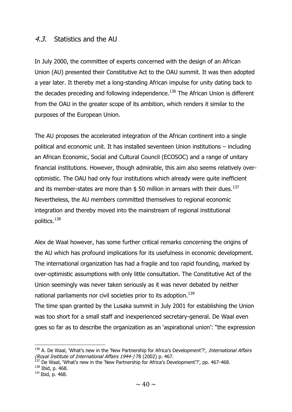## 4.3. Statistics and the AU

In July 2000, the committee of experts concerned with the design of an African Union (AU) presented their Constitutive Act to the OAU summit. It was then adopted a year later. It thereby met a long-standing African impulse for unity dating back to the decades preceding and following independence.<sup>136</sup> The African Union is different from the OAU in the greater scope of its ambition, which renders it similar to the purposes of the European Union.

The AU proposes the accelerated integration of the African continent into a single political and economic unit. It has installed seventeen Union institutions – including an African Economic, Social and Cultural Council (ECOSOC) and a range of unitary financial institutions. However, though admirable, this aim also seems relatively overoptimistic. The OAU had only four institutions which already were quite inefficient and its member-states are more than  $$50$  million in arrears with their dues.<sup>137</sup> Nevertheless, the AU members committed themselves to regional economic integration and thereby moved into the mainstream of regional institutional politics.<sup>138</sup>

Alex de Waal however, has some further critical remarks concerning the origins of the AU which has profound implications for its usefulness in economic development. The international organization has had a fragile and too rapid founding, marked by over-optimistic assumptions with only little consultation. The Constitutive Act of the Union seemingly was never taken seriously as it was never debated by neither national parliaments nor civil societies prior to its adoption.<sup>139</sup>

The time span granted by the Lusaka summit in July 2001 for establishing the Union was too short for a small staff and inexperienced secretary-general. De Waal even goes so far as to describe the organization as an 'aspirational union': "the expression

<sup>&</sup>lt;sup>136</sup> A. De Waal, 'What's new in the 'New Partnership for Africa's Development'?', *International Affairs* (Royal Institute of International Affairs 1944-) 78 (2002) p. 467.

<sup>&</sup>lt;sup>137</sup> De Waal, 'What's new in the 'New Partnership for Africa's Development'?', pp. 467-468.

<sup>138</sup> Ibid, p. 468.

<sup>139</sup> Ibid, p. 468.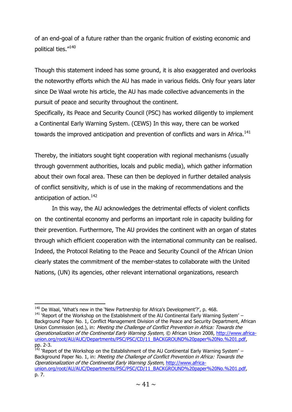of an end-goal of a future rather than the organic fruition of existing economic and political ties."<sup>140</sup>

Though this statement indeed has some ground, it is also exaggerated and overlooks the noteworthy efforts which the AU has made in various fields. Only four years later since De Waal wrote his article, the AU has made collective advancements in the pursuit of peace and security throughout the continent.

Specifically, its Peace and Security Council (PSC) has worked diligently to implement a Continental Early Warning System. (CEWS) In this way, there can be worked towards the improved anticipation and prevention of conflicts and wars in Africa.<sup>141</sup>

Thereby, the initiators sought tight cooperation with regional mechanisms (usually through government authorities, locals and public media), which gather information about their own focal area. These can then be deployed in further detailed analysis of conflict sensitivity, which is of use in the making of recommendations and the anticipation of action.<sup>142</sup>

In this way, the AU acknowledges the detrimental effects of violent conflicts on the continental economy and performs an important role in capacity building for their prevention. Furthermore, The AU provides the continent with an organ of states through which efficient cooperation with the international community can be realised. Indeed, the Protocol Relating to the Peace and Security Council of the African Union clearly states the commitment of the member-states to collaborate with the United Nations, (UN) its agencies, other relevant international organizations, research

**.** 

 $142$  'Report of the Workshop on the Establishment of the AU Continental Early Warning System' – Background Paper No. 1, in: Meeting the Challenge of Conflict Prevention in Africa: Towards the Operationalization of the Continental Early Warning System, [http://www.africa](http://www.africa-union.org/root/AU/AUC/Departments/PSC/PSC/CD/11_BACKGROUND%20paper%20No.%201.pdf)[union.org/root/AU/AUC/Departments/PSC/PSC/CD/11\\_BACKGROUND%20paper%20No.%201.pdf,](http://www.africa-union.org/root/AU/AUC/Departments/PSC/PSC/CD/11_BACKGROUND%20paper%20No.%201.pdf) p. 7.

 $140$  De Waal, 'What's new in the 'New Partnership for Africa's Development'?', p. 468.

 $141$  'Report of the Workshop on the Establishment of the AU Continental Early Warning System' – Background Paper No. 1, Conflict Management Division of the Peace and Security Department, African Union Commission (ed.), in: Meeting the Challenge of Conflict Prevention in Africa: Towards the Operationalization of the Continental Early Warning System, © African Union 2008, [http://www.africa](http://www.africa-union.org/root/AU/AUC/Departments/PSC/PSC/CD/11_BACKGROUND%20paper%20No.%201.pdf)[union.org/root/AU/AUC/Departments/PSC/PSC/CD/11\\_BACKGROUND%20paper%20No.%201.pdf,](http://www.africa-union.org/root/AU/AUC/Departments/PSC/PSC/CD/11_BACKGROUND%20paper%20No.%201.pdf) pp. 2-3.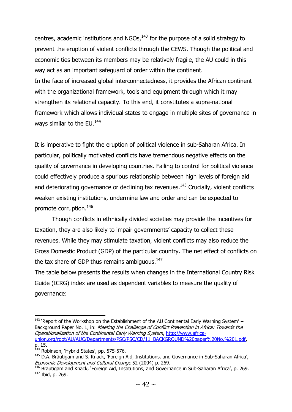centres, academic institutions and  $NGOs<sub>1</sub><sup>143</sup>$  for the purpose of a solid strategy to prevent the eruption of violent conflicts through the CEWS. Though the political and economic ties between its members may be relatively fragile, the AU could in this way act as an important safeguard of order within the continent. In the face of increased global interconnectedness, it provides the African continent with the organizational framework, tools and equipment through which it may strengthen its relational capacity. To this end, it constitutes a supra-national framework which allows individual states to engage in multiple sites of governance in ways similar to the EU.<sup>144</sup>

It is imperative to fight the eruption of political violence in sub-Saharan Africa. In particular, politically motivated conflicts have tremendous negative effects on the quality of governance in developing countries. Failing to control for political violence could effectively produce a spurious relationship between high levels of foreign aid and deteriorating governance or declining tax revenues.<sup>145</sup> Crucially, violent conflicts weaken existing institutions, undermine law and order and can be expected to promote corruption.<sup>146</sup>

Though conflicts in ethnically divided societies may provide the incentives for taxation, they are also likely to impair governments' capacity to collect these revenues. While they may stimulate taxation, violent conflicts may also reduce the Gross Domestic Product (GDP) of the particular country. The net effect of conflicts on the tax share of GDP thus remains ambiguous.<sup>147</sup>

The table below presents the results when changes in the International Country Risk Guide (ICRG) index are used as dependent variables to measure the quality of governance:

 $\overline{\phantom{a}}$  $143$  'Report of the Workshop on the Establishment of the AU Continental Early Warning System' – Background Paper No. 1, in: Meeting the Challenge of Conflict Prevention in Africa: Towards the Operationalization of the Continental Early Warning System, [http://www.africa](http://www.africa-union.org/root/AU/AUC/Departments/PSC/PSC/CD/11_BACKGROUND%20paper%20No.%201.pdf)[union.org/root/AU/AUC/Departments/PSC/PSC/CD/11\\_BACKGROUND%20paper%20No.%201.pdf,](http://www.africa-union.org/root/AU/AUC/Departments/PSC/PSC/CD/11_BACKGROUND%20paper%20No.%201.pdf) p. 15.

<sup>&</sup>lt;sup>144</sup> Robinson, 'Hybrid States', pp. 575-576.

<sup>145</sup> D.A. Bräutigam and S. Knack, 'Foreign Aid, Institutions, and Governance in Sub-Saharan Africa', Economic Development and Cultural Change 52 (2004) p. 269.

<sup>&</sup>lt;sup>146</sup> Bräutigam and Knack, 'Foreign Aid, Institutions, and Governance in Sub-Saharan Africa', p. 269.  $147$  Ibid, p. 269.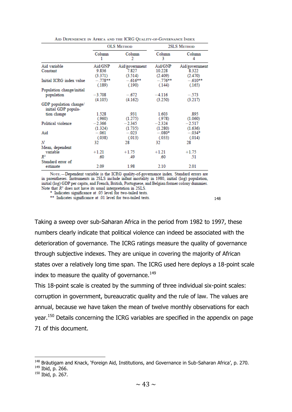|                                               |                     | <b>OLS METHOD</b>   |                     | <b>2SLS METHOD</b>  |
|-----------------------------------------------|---------------------|---------------------|---------------------|---------------------|
|                                               | Column<br>1         | Column<br>2         | Column<br>3         | Column<br>4         |
| Aid variable                                  | Aid/GNP             | Aid/government      | Aid/GNP             | Aid/government      |
| Constant                                      | 9.836<br>(3.371)    | 7.827<br>(3.514)    | 10.228<br>(2.409)   | 8.322<br>(2.470)    |
| Initial ICRG index value                      | $-.778**$<br>(.189) | $-.616**$<br>(.190) | $-.776**$<br>(.144) | $-.610**$<br>(.165) |
| Population change/initial                     |                     |                     |                     |                     |
| population                                    | $-3.708$<br>(4.105) | $-.672$<br>(4.162)  | $-4.116$<br>(3.250) | $-.573$<br>(3.217)  |
| GDP population change/<br>initial GDP popula- |                     |                     |                     |                     |
| tion change                                   | 1.528<br>(.960)     | 931<br>(1.275)      | 1.603<br>(.978)     | .895<br>(1.060)     |
| Political violence                            | $-2.366$<br>(1.324) | $-2.345$<br>(1.735) | $-2.324$<br>(1.280) | $-2.517$<br>(1.636) |
| Aid                                           | $-.061$<br>(.038)   | $-.023$<br>(.013)   | $-.080*$<br>(.033)  | $-.034*$<br>(.014)  |
| N                                             | 32                  | 28                  | 32                  | 28                  |
| Mean, dependent                               |                     |                     |                     |                     |
| variable                                      | $+1.21$             | $+1.75$             | $+1.21$             | $+1.75$             |
| R <sup>2</sup>                                | .60                 | .49                 | .60                 | .51                 |
| Standard error of<br>estimate                 | 2.09                | 1.98                | 2.10                | 2.01                |

AID DEPENDENCE IN AFRICA AND THE ICRG OUALITY OF GOVERNANCE INDEX

NOTE.-Dependent variable is the ICRG quality-of-governance index. Standard errors are in parentheses. Instruments in 2SLS include infant mortality in 1980, initial (log) population, initial (log) GDP per capita, and French, British, Portuguese, and Belgian former colony dummies. Note that  $R^2$  does not have its usual interpretation in 2SLS.

Indicates significance at .05 level for two-tailed tests.

\*\* Indicates significance at .01 level for two-tailed tests.

148

Taking a sweep over sub-Saharan Africa in the period from 1982 to 1997, these numbers clearly indicate that political violence can indeed be associated with the deterioration of governance. The ICRG ratings measure the quality of governance through subjective indexes. They are unique in covering the majority of African states over a relatively long time span. The ICRG used here deploys a 18-point scale index to measure the quality of governance.<sup>149</sup>

This 18-point scale is created by the summing of three individual six-point scales: corruption in government, bureaucratic quality and the rule of law. The values are annual, because we have taken the mean of twelve monthly observations for each year.<sup>150</sup> Details concerning the ICRG variables are specified in the appendix on page 71 of this document.

<sup>&</sup>lt;sup>148</sup> Bräutigam and Knack, 'Foreign Aid, Institutions, and Governance in Sub-Saharan Africa', p. 270. <sup>149</sup> Ibid, p. 266.

<sup>150</sup> Ibid, p. 267.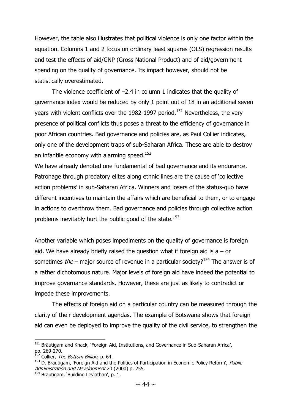However, the table also illustrates that political violence is only one factor within the equation. Columns 1 and 2 focus on ordinary least squares (OLS) regression results and test the effects of aid/GNP (Gross National Product) and of aid/government spending on the quality of governance. Its impact however, should not be statistically overestimated.

The violence coefficient of  $-2.4$  in column 1 indicates that the quality of governance index would be reduced by only 1 point out of 18 in an additional seven years with violent conflicts over the 1982-1997 period.<sup>151</sup> Nevertheless, the very presence of political conflicts thus poses a threat to the efficiency of governance in poor African countries. Bad governance and policies are, as Paul Collier indicates, only one of the development traps of sub-Saharan Africa. These are able to destroy an infantile economy with alarming speed.<sup>152</sup>

We have already denoted one fundamental of bad governance and its endurance. Patronage through predatory elites along ethnic lines are the cause of 'collective action problems' in sub-Saharan Africa. Winners and losers of the status-quo have different incentives to maintain the affairs which are beneficial to them, or to engage in actions to overthrow them. Bad governance and policies through collective action problems inevitably hurt the public good of the state.<sup>153</sup>

Another variable which poses impediments on the quality of governance is foreign aid. We have already briefly raised the question what if foreign aid is  $a - or$ sometimes the – major source of revenue in a particular society?<sup>154</sup> The answer is of a rather dichotomous nature. Major levels of foreign aid have indeed the potential to improve governance standards. However, these are just as likely to contradict or impede these improvements.

The effects of foreign aid on a particular country can be measured through the clarity of their development agendas. The example of Botswana shows that foreign aid can even be deployed to improve the quality of the civil service, to strengthen the

<sup>&</sup>lt;sup>151</sup> Bräutigam and Knack, 'Foreign Aid, Institutions, and Governance in Sub-Saharan Africa', pp. 269-270.

<sup>&</sup>lt;sup>152</sup> Collier*, The Bottom Billion,* p. 64.

 $153$  D. Bräutigam, 'Foreign Aid and the Politics of Participation in Economic Policy Reform', Public Administration and Development 20 (2000) p. 255.

<sup>&</sup>lt;sup>154</sup> Bräutigam, 'Building Leviathan', p. 1.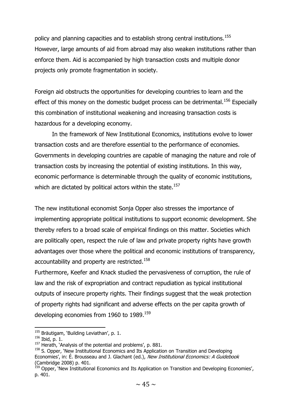policy and planning capacities and to establish strong central institutions.<sup>155</sup> However, large amounts of aid from abroad may also weaken institutions rather than enforce them. Aid is accompanied by high transaction costs and multiple donor projects only promote fragmentation in society.

Foreign aid obstructs the opportunities for developing countries to learn and the effect of this money on the domestic budget process can be detrimental.<sup>156</sup> Especially this combination of institutional weakening and increasing transaction costs is hazardous for a developing economy.

In the framework of New Institutional Economics, institutions evolve to lower transaction costs and are therefore essential to the performance of economies. Governments in developing countries are capable of managing the nature and role of transaction costs by increasing the potential of existing institutions. In this way, economic performance is determinable through the quality of economic institutions, which are dictated by political actors within the state.<sup>157</sup>

The new institutional economist Sonja Opper also stresses the importance of implementing appropriate political institutions to support economic development. She thereby refers to a broad scale of empirical findings on this matter. Societies which are politically open, respect the rule of law and private property rights have growth advantages over those where the political and economic institutions of transparency, accountability and property are restricted.<sup>158</sup>

Furthermore, Keefer and Knack studied the pervasiveness of corruption, the rule of law and the risk of expropriation and contract repudiation as typical institutional outputs of insecure property rights. Their findings suggest that the weak protection of property rights had significant and adverse effects on the per capita growth of developing economies from 1960 to 1989.<sup>159</sup>

<sup>&</sup>lt;sup>155</sup> Bräutigam, 'Building Leviathan', p. 1.

<sup>156</sup> Ibid, p. 1.

<sup>&</sup>lt;sup>157</sup> Herath, `Analysis of the potential and problems', p. 881.

<sup>&</sup>lt;sup>158</sup> S. Opper, 'New Institutional Economics and Its Application on Transition and Developing Economies', in: É. Brousseau and J. Glachant (ed.), New Institutional Economics: A Guidebook (Cambridge 2008) p. 401.

<sup>&</sup>lt;sup>159</sup> Opper, 'New Institutional Economics and Its Application on Transition and Developing Economies', p. 401.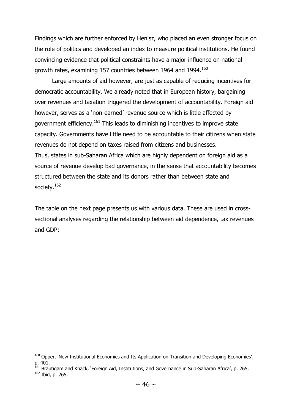Findings which are further enforced by Henisz, who placed an even stronger focus on the role of politics and developed an index to measure political institutions. He found convincing evidence that political constraints have a major influence on national growth rates, examining 157 countries between 1964 and 1994.<sup>160</sup>

Large amounts of aid however, are just as capable of reducing incentives for democratic accountability. We already noted that in European history, bargaining over revenues and taxation triggered the development of accountability. Foreign aid however, serves as a 'non-earned' revenue source which is little affected by government efficiency.<sup>161</sup> This leads to diminishing incentives to improve state capacity. Governments have little need to be accountable to their citizens when state revenues do not depend on taxes raised from citizens and businesses. Thus, states in sub-Saharan Africa which are highly dependent on foreign aid as a source of revenue develop bad governance, in the sense that accountability becomes structured between the state and its donors rather than between state and society.<sup>162</sup>

The table on the next page presents us with various data. These are used in crosssectional analyses regarding the relationship between aid dependence, tax revenues and GDP:

<sup>&</sup>lt;sup>160</sup> Opper, 'New Institutional Economics and Its Application on Transition and Developing Economies', p. 401.

<sup>&</sup>lt;sup>161</sup> Bräutigam and Knack, 'Foreign Aid, Institutions, and Governance in Sub-Saharan Africa', p. 265.

<sup>162</sup> Ibid, p. 265.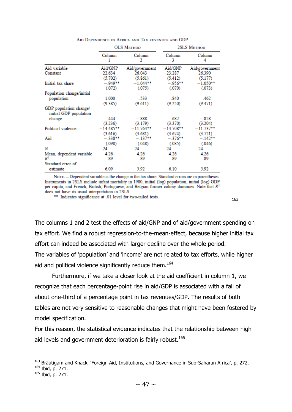|                                                  |              | <b>OLS METHOD</b> |             | <b>2SLS METHOD</b> |
|--------------------------------------------------|--------------|-------------------|-------------|--------------------|
|                                                  | Column       | Column<br>2       | Column<br>3 | Column<br>4        |
| Aid variable                                     | Aid/GNP      | Aid/government    | Aid/GNP     | Aid/government     |
| Constant                                         | 22.634       | 26.043            | 23.287      | 26.390             |
|                                                  | (5.702)      | (5.861)           | (5.412)     | (5.177)            |
| Initial tax share                                | $-949**$     | $-1.044**$        | $-.956**$   | $-1.050**$         |
|                                                  | (.072)       | (.075)            | (.070)      | (.073)             |
| Population change/initial                        |              |                   |             |                    |
| population                                       | 1.000        | -533              | .840        | .462               |
|                                                  | (9.385)      | (9.611)           | (9.250)     | (9.471)            |
| GDP population change/<br>initial GDP population |              |                   |             |                    |
| change                                           | 444          | $-.888$           | .682        | $-.858$            |
|                                                  | (3.236)      | (3.179)           | (3.370)     | (3.204)            |
| Political violence                               | $-14.485***$ | $-11.764**$       | $-14.708**$ | $-11.737***$       |
|                                                  | (3.616)      | (3.681)           | (3.674)     | (3.721)            |
| Aid                                              | $-.338**$    | $-.137***$        | $-.376**$   | $-.142**$          |
|                                                  | (.090)       | (.048)            | (.085)      | (.046)             |
| N                                                | 24           | 24                | 24          | 24                 |
| Mean, dependent variable                         | $-4.26$      | $-4.26$           | $-4.26$     | $-4.26$            |
| R <sup>2</sup>                                   | .89          | .89               | .89         | .89                |
| Standard error of                                |              |                   |             |                    |
| estimate                                         | 6.09         | 5.92              | 6.10        | 5.92               |

AID DEPENDENCE IN AFRICA AND TAX REVENUES AND GDP

NOTE. - Dependent variable is the change in the tax share. Standard errors are in parentheses. FOTE.—Dependent variable is the change in the tax share. Standard errors are in parentnesses.<br>Instruments in 2SLS include infant mortality in 1980, initial (log) population, initial (log) GDP<br>per capita, and French, Briti

\*\* Indicates significance at .01 level for two-tailed tests.

163

The columns 1 and 2 test the effects of aid/GNP and of aid/government spending on tax effort. We find a robust regression-to-the-mean-effect, because higher initial tax effort can indeed be associated with larger decline over the whole period. The variables of 'population' and 'income' are not related to tax efforts, while higher aid and political violence significantly reduce them.<sup>164</sup>

Furthermore, if we take a closer look at the aid coefficient in column 1, we recognize that each percentage-point rise in aid/GDP is associated with a fall of about one-third of a percentage point in tax revenues/GDP. The results of both tables are not very sensitive to reasonable changes that might have been fostered by model specification.

For this reason, the statistical evidence indicates that the relationship between high aid levels and government deterioration is fairly robust.<sup>165</sup>

<sup>&</sup>lt;sup>163</sup> Bräutigam and Knack, 'Foreign Aid, Institutions, and Governance in Sub-Saharan Africa', p. 272. <sup>164</sup> Ibid, p. 271.

<sup>165</sup> Ibid, p. 271.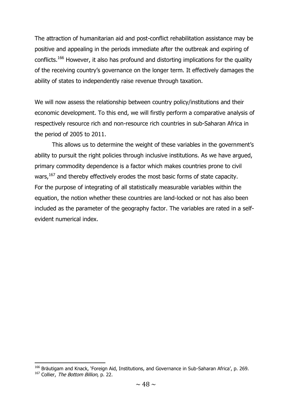The attraction of humanitarian aid and post-conflict rehabilitation assistance may be positive and appealing in the periods immediate after the outbreak and expiring of conflicts.<sup>166</sup> However, it also has profound and distorting implications for the quality of the receiving country's governance on the longer term. It effectively damages the ability of states to independently raise revenue through taxation.

We will now assess the relationship between country policy/institutions and their economic development. To this end, we will firstly perform a comparative analysis of respectively resource rich and non-resource rich countries in sub-Saharan Africa in the period of 2005 to 2011.

This allows us to determine the weight of these variables in the government's ability to pursuit the right policies through inclusive institutions. As we have argued, primary commodity dependence is a factor which makes countries prone to civil wars,  $167$  and thereby effectively erodes the most basic forms of state capacity. For the purpose of integrating of all statistically measurable variables within the equation, the notion whether these countries are land-locked or not has also been included as the parameter of the geography factor. The variables are rated in a selfevident numerical index.

<sup>&</sup>lt;sup>166</sup> Bräutigam and Knack, 'Foreign Aid, Institutions, and Governance in Sub-Saharan Africa', p. 269.

<sup>&</sup>lt;sup>167</sup> Collier, *The Bottom Billion*, p. 22.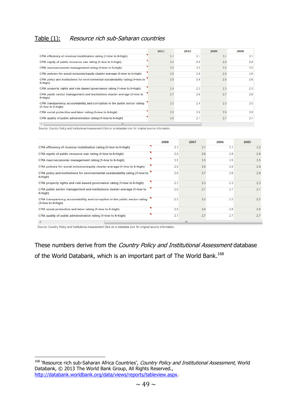#### Table (1): Resource rich sub-Saharan countries

|                                                                                                          | 2011 | 2010 | 2009 | 2008 |
|----------------------------------------------------------------------------------------------------------|------|------|------|------|
| CPIA efficiency of revenue mobilization rating (1=low to 6=high)                                         | 3.1  | 3.1  | 3.1  | 3.1  |
| CPIA equity of public resource use rating (1=low to 6=high)                                              | 3.0  | 2.9  | 2.8  | 2.8  |
| CPIA macroeconomic management rating (1=low to 6=high)                                                   | 3.5  | 3.5  | 3.5  | 3.5  |
| CPIA policies for social inclusion/equity cluster average (1=low to 6=high)                              | 2.9  | 2.9  | 2.8  | 2.8  |
| CPIA policy and institutions for environmental sustainability rating (1=low to<br>6=high)                | 2.8  | 26   | 2.6  | 2.6  |
| CPIA property rights and rule-based governance rating (1=low to 6=high)                                  | 2.4  | 2.3  | 2.3  | 2.3  |
| CPIA public sector management and institutions cluster average (1=low to<br>$6 = high$                   | 2.7  | 2.6  | 2.7  | 2.6  |
| CPIA transparency, accountability, and corruption in the public sector rating<br>$(1 = low to 6 = high)$ | 2.5  | 2.4  | 2.5  | 2.5  |
| CPIA social protection and labor rating (1=low to 6=high)                                                | 2.8  | 2.8  | 2.9  | 2.8  |
| CPIA quality of public administration rating (1=low to 6=high)                                           | 2.6  | 2.7  | 2.7  | 2.7  |
| $\overline{a}$<br>m.                                                                                     |      |      |      |      |

Source: Country Policy and Institutional Assessment. Click on a metadata icon for original source information.

|                                                                                                          | 2008 | 2007 | 2006 | 2005 |
|----------------------------------------------------------------------------------------------------------|------|------|------|------|
| CPIA efficiency of revenue mobilization rating (1=low to 6=high)                                         | 3.1  | 3.1  | 3.1  | 3.2  |
| CPIA equity of public resource use rating (1=low to 6=high)                                              | 2.8  | 2.8  | 2.8  | 2.9  |
| CPIA macroeconomic management rating (1=low to 6=high)                                                   | 3.5  | 3.5  | 3.5  | 3.5  |
| CPIA policies for social inclusion/equity cluster average (1=low to 6=high)                              | 2.8  | 2.8  | 2.8  | 2.9  |
| CPIA policy and institutions for environmental sustainability rating (1=low to<br>6=high)                | 2.6  | 2.7  | 2.8  | 2.9  |
| CPIA property rights and rule-based governance rating (1=low to 6=high)                                  | 2.3  | 2.3  | 2.3  | 2.3  |
| CPIA public sector management and institutions cluster average (1=low to<br>6=high)                      | 2.6  | 2.7  | 2.7  | 2.7  |
| CPIA transparency, accountability, and corruption in the public sector rating<br>$(1 = low to 6 = high)$ | 2.5  | 2.5  | 2.5  | 2.5  |
| CPIA social protection and labor rating (1=low to 6=high)                                                | 2.8  | 2.8  | 2.8  | 2.8  |
| CPIA quality of public administration rating (1=low to 6=high)                                           | 2.7  | 2.7  | 2.7  | 2.7  |
|                                                                                                          |      | m    |      |      |

Source: Country Policy and Institutional Assessment. Click on a metadata icon for original source information.

**.** 

These numbers derive from the *Country Policy and Institutional Assessment* database of the World Databank, which is an important part of The World Bank.<sup>168</sup>

<sup>&</sup>lt;sup>168</sup> 'Resource rich sub-Saharan Africa Countries', Country Policy and Institutional Assessment, World Databank, © 2013 The World Bank Group, All Rights Reserved., [http://databank.worldbank.org/data/views/reports/tableview.aspx.](http://databank.worldbank.org/data/views/reports/tableview.aspx)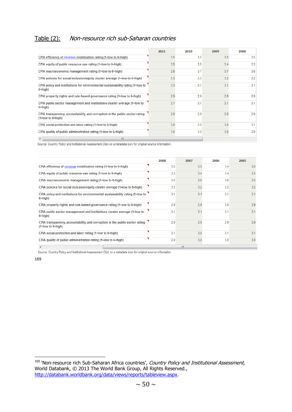## Table (2): Non-resource rich sub-Saharan countries

|                                                                                                          | 2011 | 2010 | 2009 | 2008 |
|----------------------------------------------------------------------------------------------------------|------|------|------|------|
| CPIA efficiency of revenue mobilization rating (1=low to 6=high)                                         | 3.5  | 3.5  | 3.5  | 3.5  |
| CPIA equity of public resource use rating (1=low to 6=high)                                              | 3.5  | 3.5  | 3.4  | 3.3  |
| CPIA macroeconomic management rating (1=low to 6=high)                                                   | 3.6  | 3.7  | 3.7  | 3.6  |
| CPIA policies for social inclusion/equity cluster average (1=low to 6=high)                              | 3.3  | 3.3  | 3.2  | 3.2  |
| CPIA policy and institutions for environmental sustainability rating (1=low to<br>6=high)                | 3.3  | 3.1  | 3.1  | 3.1  |
| CPIA property rights and rule-based governance rating (1=low to 6=high)                                  | 2.9  | 2.9  | 2.9  | 2.9  |
| CPIA public sector management and institutions cluster average (1=low to<br>6=high)                      | 3.1  | 3.1  | 3.1  | 3.1  |
| CPIA transparency, accountability, and corruption in the public sector rating<br>$(1 = low to 6 = high)$ | 2.9  | 2.8  | 2.8  | 2.9  |
| CPIA social protection and labor rating (1=low to 6=high)                                                | 3.0  | 3.0  | 3.0  | 3.1  |
| CPIA quality of public administration rating (1=low to 6=high)                                           | 3.0  | 3.0  | 3.0  | 2.9  |
| $\lambda$<br>HL.                                                                                         |      |      |      |      |

Source: Country Policy and Institutional Assessment. Click on a metadata icon for original source information.

|                                                                                                          | 2008 | 2007 | 2006 | 2005 |
|----------------------------------------------------------------------------------------------------------|------|------|------|------|
| CPIA efficiency of revenue mobilization rating (1=low to 6=high)                                         | 3.5  | 3.5  | 3.4  | 3.5  |
| CPIA equity of public resource use rating (1=low to 6=high)                                              | 3.3  | 3.4  | 3.4  | 3.3  |
| CPIA macroeconomic management rating (1=low to 6=high)                                                   | 3.6  | 3.6  | 3.6  | 3.5  |
| CPIA policies for social inclusion/equity cluster average (1=low to 6=high)                              | 3.2  | 3.2  | 3.2  | 3.2  |
| CPIA policy and institutions for environmental sustainability rating (1=low to<br>6=high)                | 3.1  | 3.1  | 3.1  | 3.1  |
| CPIA property rights and rule-based governance rating (1=low to 6=high)                                  | 2.9  | 2.9  | 3.0  | 2.9  |
| CPIA public sector management and institutions cluster average (1=low to<br>6=high)                      | 3.1  | 3.1  | 3.1  | 3.1  |
| CPIA transparency, accountability, and corruption in the public sector rating<br>$(1 = low to 6 = high)$ | 2.9  | 2.9  | 2.9  | 2.9  |
| CPIA social protection and labor rating (1=low to 6=high)                                                | 3.1  | 3.0  | 3.1  | 3.1  |
| CPIA quality of public administration rating (1=low to 6=high)                                           | 2.9  | 3.0  | 3.0  | 3.0  |
|                                                                                                          |      | Ш    |      |      |

Source: Country Policy and Institutional Assessment. Click on a metadata icon for original source information.

169

<sup>&</sup>lt;sup>169</sup> 'Non-resource rich Sub-Saharan Africa countries', *Country Policy and Institutional Assessment*, World Databank, © 2013 The World Bank Group, All Rights Reserved., [http://databank.worldbank.org/data/views/reports/tableview.aspx.](http://databank.worldbank.org/data/views/reports/tableview.aspx)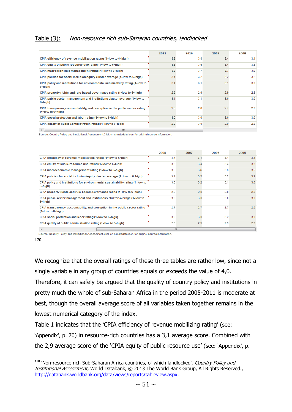### Table (3): Non-resource rich sub-Saharan countries, landlocked

|                                                                                                          | 2011 | 2010 | 2009 | 2008 |
|----------------------------------------------------------------------------------------------------------|------|------|------|------|
| CPIA efficiency of revenue mobilization rating (1=low to 6=high)                                         | 3.5  | 3.4  | 3.4  | 3.4  |
| CPIA equity of public resource use rating (1=low to 6=high)                                              | 3.5  | 3.5  | 3.4  | 3.3  |
| CPIA macroeconomic management rating (1=low to 6=high)                                                   | 3.6  | 3.7  | 3.7  | 3.6  |
| CPIA policies for social inclusion/equity cluster average (1=low to 6=high)                              | 3.4  | 3.2  | 3.2  | 3.2  |
| CPIA policy and institutions for environmental sustainability rating (1=low to<br>$6 = high$             | 3.4  | 3.1  | 3.1  | 3.0  |
| CPIA property rights and rule-based governance rating (1=low to 6=high)                                  | 2.9  | 2.9  | 2.9  | 2.8  |
| CPIA public sector management and institutions cluster average (1=low to<br>$6 = high$                   | 3.1  | 3.1  | 3.0  | 3.0  |
| CPIA transparency, accountability, and corruption in the public sector rating<br>$(1 = low to 6 = high)$ | 2.8  | 2.8  | 2.7  | 2.7  |
| CPIA social protection and labor rating (1=low to 6=high)                                                | 3.0  | 3.0  | 3.0  | 3.0  |
| CPIA quality of public administration rating (1=low to 6=high)                                           | 2.9  | 3.0  | 2.9  | 2.8  |

Source: Country Policy and Institutional Assessment. Click on a metadata icon for original source information.

|                                                                                                          | 2008 | 2007 | 2006 | 2005 |
|----------------------------------------------------------------------------------------------------------|------|------|------|------|
| CPIA efficiency of revenue mobilization rating (1=low to 6=high)                                         | 3.4  | 3.4  | 3.4  | 3.4  |
| CPIA equity of public resource use rating (1=low to 6=high)                                              | 3.3  | 3.4  | 3.4  | 3.3  |
| CPIA macroeconomic management rating (1=low to 6=high)                                                   | 3.6  | 3.6  | 3.6  | 3.5  |
| CPIA policies for social inclusion/equity cluster average (1=low to 6=high)                              | 3.2  | 3.2  | 3.2  | 3.2  |
| CPIA policy and institutions for environmental sustainability rating (1=low to<br>$6 = high$ )           | 3.0  | 3.2  | 3.1  | 3.0  |
| CPIA property rights and rule-based governance rating (1=low to 6=high)                                  | 2.8  | 2.8  | 2.8  | 2.8  |
| CPIA public sector management and institutions cluster average (1=low to<br>$6 = high$                   | 3.0  | 3.0  | 3.0  | 3.0  |
| CPIA transparency, accountability, and corruption in the public sector rating<br>$(1 = low to 6 = high)$ | 2.7  | 2.7  | 2.7  | 2.8  |
| CPIA social protection and labor rating (1=low to 6=high)                                                | 3.0  | 3.0  | 3.2  | 3.0  |
| CPIA quality of public administration rating (1=low to 6=high)                                           | 2.8  | 2.9  | 2.9  | 2.9  |
|                                                                                                          |      | m.   |      |      |

Source: Country Policy and Institutional Assessment.Click on a metadata icon for original source information.

170

**.** 

We recognize that the overall ratings of these three tables are rather low, since not a single variable in any group of countries equals or exceeds the value of 4,0.

Therefore, it can safely be argued that the quality of country policy and institutions in pretty much the whole of sub-Saharan Africa in the period 2005-2011 is moderate at best, though the overall average score of all variables taken together remains in the lowest numerical category of the index.

Table 1 indicates that the 'CPIA efficiency of revenue mobilizing rating' (see: 'Appendix', p. 70) in resource-rich countries has a 3,1 average score. Combined with the 2,9 average score of the 'CPIA equity of public resource use' (see: 'Appendix', p.

<sup>&</sup>lt;sup>170</sup> 'Non-resource rich Sub-Saharan Africa countries, of which landlocked', Country Policy and Institutional Assessment, World Databank, © 2013 The World Bank Group, All Rights Reserved., [http://databank.worldbank.org/data/views/reports/tableview.aspx.](http://databank.worldbank.org/data/views/reports/tableview.aspx)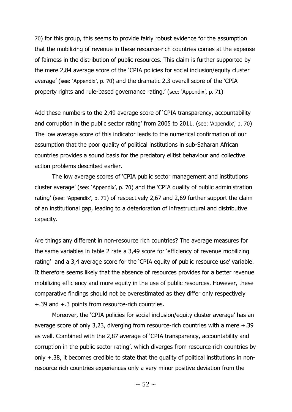70) for this group, this seems to provide fairly robust evidence for the assumption that the mobilizing of revenue in these resource-rich countries comes at the expense of fairness in the distribution of public resources. This claim is further supported by the mere 2,84 average score of the 'CPIA policies for social inclusion/equity cluster average' (see: 'Appendix', p. 70) and the dramatic 2,3 overall score of the 'CPIA property rights and rule-based governance rating.' (see: 'Appendix', p. 71)

Add these numbers to the 2,49 average score of 'CPIA transparency, accountability and corruption in the public sector rating' from 2005 to 2011. (see: 'Appendix', p. 70) The low average score of this indicator leads to the numerical confirmation of our assumption that the poor quality of political institutions in sub-Saharan African countries provides a sound basis for the predatory elitist behaviour and collective action problems described earlier.

The low average scores of 'CPIA public sector management and institutions cluster average' (see: 'Appendix', p. 70) and the 'CPIA quality of public administration rating' (see: 'Appendix', p. 71) of respectively 2,67 and 2,69 further support the claim of an institutional gap, leading to a deterioration of infrastructural and distributive capacity.

Are things any different in non-resource rich countries? The average measures for the same variables in table 2 rate a 3,49 score for 'efficiency of revenue mobilizing rating' and a 3,4 average score for the 'CPIA equity of public resource use' variable. It therefore seems likely that the absence of resources provides for a better revenue mobilizing efficiency and more equity in the use of public resources. However, these comparative findings should not be overestimated as they differ only respectively +.39 and +.3 points from resource-rich countries.

Moreover, the 'CPIA policies for social inclusion/equity cluster average' has an average score of only 3,23, diverging from resource-rich countries with a mere +.39 as well. Combined with the 2,87 average of 'CPIA transparency, accountability and corruption in the public sector rating', which diverges from resource-rich countries by only +.38, it becomes credible to state that the quality of political institutions in nonresource rich countries experiences only a very minor positive deviation from the

 $\sim$  52  $\sim$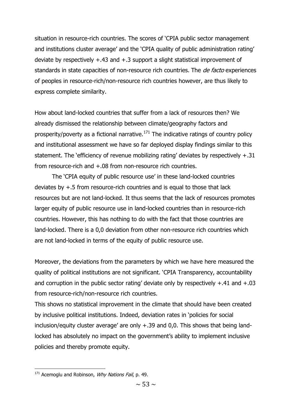situation in resource-rich countries. The scores of 'CPIA public sector management and institutions cluster average' and the 'CPIA quality of public administration rating' deviate by respectively +.43 and +.3 support a slight statistical improvement of standards in state capacities of non-resource rich countries. The *de facto* experiences of peoples in resource-rich/non-resource rich countries however, are thus likely to express complete similarity.

How about land-locked countries that suffer from a lack of resources then? We already dismissed the relationship between climate/geography factors and prosperity/poverty as a fictional narrative. $171$  The indicative ratings of country policy and institutional assessment we have so far deployed display findings similar to this statement. The 'efficiency of revenue mobilizing rating' deviates by respectively +.31 from resource-rich and +.08 from non-resource rich countries.

The 'CPIA equity of public resource use' in these land-locked countries deviates by +.5 from resource-rich countries and is equal to those that lack resources but are not land-locked. It thus seems that the lack of resources promotes larger equity of public resource use in land-locked countries than in resource-rich countries. However, this has nothing to do with the fact that those countries are land-locked. There is a 0,0 deviation from other non-resource rich countries which are not land-locked in terms of the equity of public resource use.

Moreover, the deviations from the parameters by which we have here measured the quality of political institutions are not significant. 'CPIA Transparency, accountability and corruption in the public sector rating' deviate only by respectively +.41 and +.03 from resource-rich/non-resource rich countries.

This shows no statistical improvement in the climate that should have been created by inclusive political institutions. Indeed, deviation rates in 'policies for social inclusion/equity cluster average' are only +.39 and 0,0. This shows that being landlocked has absolutely no impact on the government's ability to implement inclusive policies and thereby promote equity.

 $171$  Acemoglu and Robinson, *Why Nations Fail*, p. 49.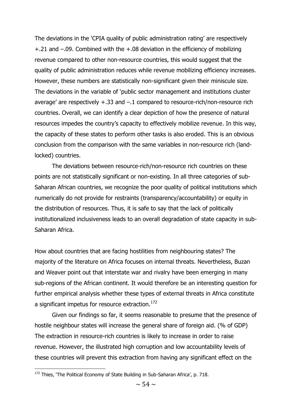The deviations in the 'CPIA quality of public administration rating' are respectively +.21 and –.09. Combined with the +.08 deviation in the efficiency of mobilizing revenue compared to other non-resource countries, this would suggest that the quality of public administration reduces while revenue mobilizing efficiency increases. However, these numbers are statistically non-significant given their miniscule size. The deviations in the variable of 'public sector management and institutions cluster average' are respectively +.33 and –.1 compared to resource-rich/non-resource rich countries. Overall, we can identify a clear depiction of how the presence of natural resources impedes the country's capacity to effectively mobilize revenue. In this way, the capacity of these states to perform other tasks is also eroded. This is an obvious conclusion from the comparison with the same variables in non-resource rich (landlocked) countries.

The deviations between resource-rich/non-resource rich countries on these points are not statistically significant or non-existing. In all three categories of sub-Saharan African countries, we recognize the poor quality of political institutions which numerically do not provide for restraints (transparency/accountability) or equity in the distribution of resources. Thus, it is safe to say that the lack of politically institutionalized inclusiveness leads to an overall degradation of state capacity in sub-Saharan Africa.

How about countries that are facing hostilities from neighbouring states? The majority of the literature on Africa focuses on internal threats. Nevertheless, Buzan and Weaver point out that interstate war and rivalry have been emerging in many sub-regions of the African continent. It would therefore be an interesting question for further empirical analysis whether these types of external threats in Africa constitute a significant impetus for resource extraction.<sup>172</sup>

Given our findings so far, it seems reasonable to presume that the presence of hostile neighbour states will increase the general share of foreign aid. (% of GDP) The extraction in resource-rich countries is likely to increase in order to raise revenue. However, the illustrated high corruption and low accountability levels of these countries will prevent this extraction from having any significant effect on the

<sup>&</sup>lt;sup>172</sup> Thies, 'The Political Economy of State Building in Sub-Saharan Africa', p. 718.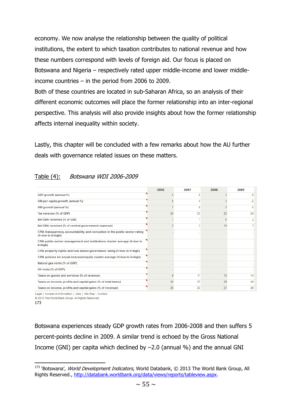economy. We now analyse the relationship between the quality of political institutions, the extent to which taxation contributes to national revenue and how these numbers correspond with levels of foreign aid. Our focus is placed on Botswana and Nigeria – respectively rated upper middle-income and lower middleincome countries – in the period from 2006 to 2009.

Both of these countries are located in sub-Saharan Africa, so an analysis of their different economic outcomes will place the former relationship into an inter-regional perspective. This analysis will also provide insights about how the former relationship affects internal inequality within society.

Lastly, this chapter will be concluded with a few remarks about how the AU further deals with governance related issues on these matters.

### Table (4): Botswana WDI 2006-2009

|                                                                                                          | 2006   | 2007   | 2008 | 2009     |
|----------------------------------------------------------------------------------------------------------|--------|--------|------|----------|
| GDP growth (annual %)                                                                                    | 5      | 5      | 3    | $-5$     |
| GNI per capita growth (annual %)                                                                         | 5      | Δ      |      | $-2$     |
| GNI growth (annual %)                                                                                    |        | 6      | 5    | $\Omega$ |
| Tax revenue (% of GDP)                                                                                   | 24     | 23     | 22   | 24       |
| Net ODA received (% of GNI)                                                                              |        |        | 6    |          |
| Net ODA received (% of central government expense)                                                       | 2      | 3      | 19   |          |
| CPIA transparency, accountability, and corruption in the public sector rating<br>$(1 = low to 6 = high)$ |        |        |      |          |
| CPIA public sector management and institutions cluster average (1=low to<br>6=high)                      |        |        |      |          |
| CPIA property rights and rule-based governance rating (1=low to 6=high)                                  |        |        |      |          |
| CPIA policies for social inclusion/equity cluster average (1=low to 6=high)                              | $\sim$ |        |      |          |
| Natural gas rents (% of GDP)                                                                             |        | $\sim$ |      |          |
| Oil rents (% of GDP)                                                                                     | $\sim$ | $\sim$ | ٠.   |          |
| Taxes on goods and services (% of revenue)                                                               | 9      | 11     | 15   | 14       |
| Taxes on income, profits and capital gains (% of total taxes)                                            | 43     | 37     | 39   | 40       |
| Taxes on income, profits and capital gains (% of revenue)                                                | 25     | 22     | 27   | 26       |

Legal | Access to Information | Jobs | Site Map | Contact

@ 2013 The World Bank Group, All Rights Reserved.

#### 173

**.** 

Botswana experiences steady GDP growth rates from 2006-2008 and then suffers 5 percent-points decline in 2009. A similar trend is echoed by the Gross National Income (GNI) per capita which declined by  $-2.0$  (annual %) and the annual GNI

<sup>173 &#</sup>x27;Botswana', World Development Indicators, World Databank, © 2013 The World Bank Group, All Rights Reserved., [http://databank.worldbank.org/data/views/reports/tableview.aspx.](http://databank.worldbank.org/data/views/reports/tableview.aspx)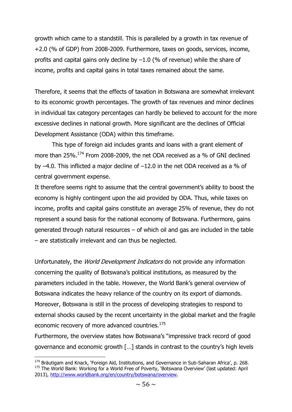growth which came to a standstill. This is paralleled by a growth in tax revenue of +2.0 (% of GDP) from 2008-2009. Furthermore, taxes on goods, services, income, profits and capital gains only decline by  $-1.0$  (% of revenue) while the share of income, profits and capital gains in total taxes remained about the same.

Therefore, it seems that the effects of taxation in Botswana are somewhat irrelevant to its economic growth percentages. The growth of tax revenues and minor declines in individual tax category percentages can hardly be believed to account for the more excessive declines in national growth. More significant are the declines of Official Development Assistance (ODA) within this timeframe.

This type of foreign aid includes grants and loans with a grant element of more than 25%.<sup>174</sup> From 2008-2009, the net ODA received as a % of GNI declined by  $-4.0$ . This inflicted a major decline of  $-12.0$  in the net ODA received as a % of central government expense.

It therefore seems right to assume that the central government's ability to boost the economy is highly contingent upon the aid provided by ODA. Thus, while taxes on income, profits and capital gains constitute an average 25% of revenue, they do not represent a sound basis for the national economy of Botswana. Furthermore, gains generated through natural resources – of which oil and gas are included in the table – are statistically irrelevant and can thus be neglected.

Unfortunately, the *World Development Indicators* do not provide any information concerning the quality of Botswana's political institutions, as measured by the parameters included in the table. However, the World Bank's general overview of Botswana indicates the heavy reliance of the country on its export of diamonds. Moreover, Botswana is still in the process of developing strategies to respond to external shocks caused by the recent uncertainty in the global market and the fragile economic recovery of more advanced countries.<sup>175</sup>

Furthermore, the overview states how Botswana's "impressive track record of good governance and economic growth […] stands in contrast to the country's high levels

<sup>&</sup>lt;sup>174</sup> Bräutigam and Knack, 'Foreign Aid, Institutions, and Governance in Sub-Saharan Africa', p. 268. <sup>175</sup> The World Bank: Working for a World Free of Poverty, 'Botswana Overview' (last updated: April 2013), [http://www.worldbank.org/en/country/botswana/overview.](http://www.worldbank.org/en/country/botswana/overview)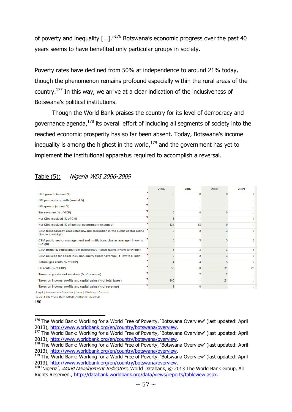of poverty and inequality  $[...]$ ."<sup>176</sup> Botswana's economic progress over the past 40 years seems to have benefited only particular groups in society.

Poverty rates have declined from 50% at independence to around 21% today, though the phenomenon remains profound especially within the rural areas of the country.<sup>177</sup> In this way, we arrive at a clear indication of the inclusiveness of Botswana's political institutions.

Though the World Bank praises the country for its level of democracy and governance agenda, $178$  its overall effort of including all segments of society into the reached economic prosperity has so far been absent. Today, Botswana's income inequality is among the highest in the world, $179$  and the government has yet to implement the institutional apparatus required to accomplish a reversal.

|                                                                                                          | 2006   | 2007 | 2008 | 2009 |
|----------------------------------------------------------------------------------------------------------|--------|------|------|------|
|                                                                                                          |        |      |      |      |
| GDP growth (annual %)                                                                                    | 6      | R    | R    |      |
| GNI per capita growth (annual %)                                                                         |        |      |      |      |
| GNI growth (annual %)                                                                                    |        |      |      |      |
| Tax revenue (% of GDP)                                                                                   |        | o    |      |      |
| Net ODA received (% of GNI)                                                                              | 8      |      |      |      |
| Net ODA received (% of central government expense)                                                       | 124    | 18   | ٩    |      |
| CPIA transparency, accountability, and corruption in the public sector rating<br>$(1 = low to 6 = high)$ | 3      | 3    |      |      |
| CPIA public sector management and institutions cluster average (1=low to<br>$6 = high$                   | ٩      | 3    |      |      |
| CPIA property rights and rule-based governance rating (1=low to 6=high)                                  | 3      | 3    |      |      |
| CPIA policies for social inclusion/equity cluster average (1=low to 6=high)                              | ٩      | 3    |      |      |
| Natural gas rents (% of GDP)                                                                             |        |      | 5    | 2    |
| Oil rents (% of GDP)                                                                                     | 33     | 30   | 31   | 23   |
| Taxes on goods and services (% of revenue)                                                               | $\sim$ | 2    | 2    |      |
| Taxes on income, profits and capital gains (% of total taxes)                                            | 100    |      | 21   |      |
| Taxes on income, profits and capital gains (% of revenue)                                                |        | o    |      |      |

# Table (5): Nigeria WDI 2006-2009

Legal | Access to Information | Jobs | Site Map | Contact

@ 2013 The World Bank Group, All Rights Reserved.

<sup>180</sup>

<sup>&</sup>lt;sup>176</sup> The World Bank: Working for a World Free of Poverty, 'Botswana Overview' (last updated: April 2013), [http://www.worldbank.org/en/country/botswana/overview.](http://www.worldbank.org/en/country/botswana/overview)

<sup>&</sup>lt;sup>177</sup> The World Bank: Working for a World Free of Poverty, 'Botswana Overview' (last updated: April 2013), [http://www.worldbank.org/en/country/botswana/overview.](http://www.worldbank.org/en/country/botswana/overview)

<sup>&</sup>lt;sup>178</sup> The World Bank: Working for a World Free of Poverty, 'Botswana Overview' (last updated: April 2013), [http://www.worldbank.org/en/country/botswana/overview.](http://www.worldbank.org/en/country/botswana/overview)

<sup>&</sup>lt;sup>179</sup> The World Bank: Working for a World Free of Poverty, 'Botswana Overview' (last updated: April 2013), [http://www.worldbank.org/en/country/botswana/overview.](http://www.worldbank.org/en/country/botswana/overview)

<sup>&</sup>lt;sup>180</sup> 'Nigeria', World Development Indicators, World Databank, © 2013 The World Bank Group, All Rights Reserved., [http://databank.worldbank.org/data/views/reports/tableview.aspx.](http://databank.worldbank.org/data/views/reports/tableview.aspx)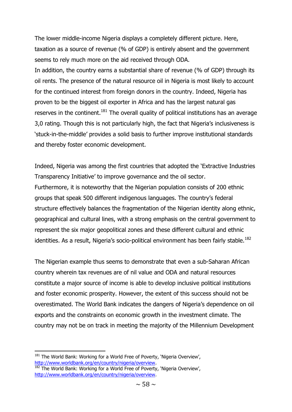The lower middle-income Nigeria displays a completely different picture. Here, taxation as a source of revenue (% of GDP) is entirely absent and the government seems to rely much more on the aid received through ODA.

In addition, the country earns a substantial share of revenue (% of GDP) through its oil rents. The presence of the natural resource oil in Nigeria is most likely to account for the continued interest from foreign donors in the country. Indeed, Nigeria has proven to be the biggest oil exporter in Africa and has the largest natural gas reserves in the continent.<sup>181</sup> The overall quality of political institutions has an average 3,0 rating. Though this is not particularly high, the fact that Nigeria's inclusiveness is 'stuck-in-the-middle' provides a solid basis to further improve institutional standards and thereby foster economic development.

Indeed, Nigeria was among the first countries that adopted the 'Extractive Industries Transparency Initiative' to improve governance and the oil sector. Furthermore, it is noteworthy that the Nigerian population consists of 200 ethnic groups that speak 500 different indigenous languages. The country's federal structure effectively balances the fragmentation of the Nigerian identity along ethnic, geographical and cultural lines, with a strong emphasis on the central government to represent the six major geopolitical zones and these different cultural and ethnic identities. As a result, Nigeria's socio-political environment has been fairly stable.<sup>182</sup>

The Nigerian example thus seems to demonstrate that even a sub-Saharan African country wherein tax revenues are of nil value and ODA and natural resources constitute a major source of income is able to develop inclusive political institutions and foster economic prosperity. However, the extent of this success should not be overestimated. The World Bank indicates the dangers of Nigeria's dependence on oil exports and the constraints on economic growth in the investment climate. The country may not be on track in meeting the majority of the Millennium Development

**<sup>.</sup>** <sup>181</sup> The World Bank: Working for a World Free of Poverty, 'Nigeria Overview', [http://www.worldbank.org/en/country/nigeria/overview.](http://www.worldbank.org/en/country/nigeria/overview)

<sup>&</sup>lt;sup>182</sup> The World Bank: Working for a World Free of Poverty, 'Nigeria Overview', [http://www.worldbank.org/en/country/nigeria/overview.](http://www.worldbank.org/en/country/nigeria/overview)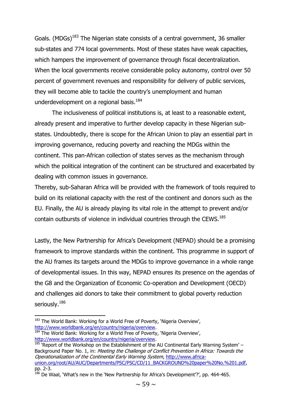Goals. (MDGs)<sup>183</sup> The Nigerian state consists of a central government, 36 smaller sub-states and 774 local governments. Most of these states have weak capacities, which hampers the improvement of governance through fiscal decentralization. When the local governments receive considerable policy autonomy, control over 50 percent of government revenues and responsibility for delivery of public services, they will become able to tackle the country's unemployment and human underdevelopment on a regional basis.<sup>184</sup>

The inclusiveness of political institutions is, at least to a reasonable extent, already present and imperative to further develop capacity in these Nigerian substates. Undoubtedly, there is scope for the African Union to play an essential part in improving governance, reducing poverty and reaching the MDGs within the continent. This pan-African collection of states serves as the mechanism through which the political integration of the continent can be structured and exacerbated by dealing with common issues in governance.

Thereby, sub-Saharan Africa will be provided with the framework of tools required to build on its relational capacity with the rest of the continent and donors such as the EU. Finally, the AU is already playing its vital role in the attempt to prevent and/or contain outbursts of violence in individual countries through the CEWS.<sup>185</sup>

Lastly, the New Partnership for Africa's Development (NEPAD) should be a promising framework to improve standards within the continent. This programme in support of the AU frames its targets around the MDGs to improve governance in a whole range of developmental issues. In this way, NEPAD ensures its presence on the agendas of the G8 and the Organization of Economic Co-operation and Development (OECD) and challenges aid donors to take their commitment to global poverty reduction seriously.<sup>186</sup>

<sup>&</sup>lt;sup>183</sup> The World Bank: Working for a World Free of Poverty, 'Nigeria Overview', [http://www.worldbank.org/en/country/nigeria/overview.](http://www.worldbank.org/en/country/nigeria/overview)

<sup>184</sup> The World Bank: Working for a World Free of Poverty, 'Nigeria Overview', [http://www.worldbank.org/en/country/nigeria/overview.](http://www.worldbank.org/en/country/nigeria/overview)

 $185$  'Report of the Workshop on the Establishment of the AU Continental Early Warning System' – Background Paper No. 1, in: Meeting the Challenge of Conflict Prevention in Africa: Towards the Operationalization of the Continental Early Warning System, [http://www.africa](http://www.africa-union.org/root/AU/AUC/Departments/PSC/PSC/CD/11_BACKGROUND%20paper%20No.%201.pdf)[union.org/root/AU/AUC/Departments/PSC/PSC/CD/11\\_BACKGROUND%20paper%20No.%201.pdf,](http://www.africa-union.org/root/AU/AUC/Departments/PSC/PSC/CD/11_BACKGROUND%20paper%20No.%201.pdf) pp. 2-3.

<sup>&</sup>lt;sup>186</sup> De Waal, 'What's new in the 'New Partnership for Africa's Development'?', pp. 464-465.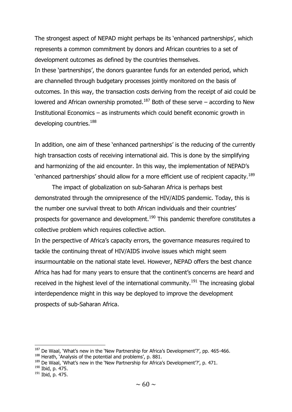The strongest aspect of NEPAD might perhaps be its 'enhanced partnerships', which represents a common commitment by donors and African countries to a set of development outcomes as defined by the countries themselves. In these 'partnerships', the donors guarantee funds for an extended period, which are channelled through budgetary processes jointly monitored on the basis of outcomes. In this way, the transaction costs deriving from the receipt of aid could be lowered and African ownership promoted.<sup>187</sup> Both of these serve – according to New Institutional Economics – as instruments which could benefit economic growth in developing countries.<sup>188</sup>

In addition, one aim of these 'enhanced partnerships' is the reducing of the currently high transaction costs of receiving international aid. This is done by the simplifying and harmonizing of the aid encounter. In this way, the implementation of NEPAD's 'enhanced partnerships' should allow for a more efficient use of recipient capacity.<sup>189</sup>

The impact of globalization on sub-Saharan Africa is perhaps best demonstrated through the omnipresence of the HIV/AIDS pandemic. Today, this is the number one survival threat to both African individuals and their countries' prospects for governance and development.<sup>190</sup> This pandemic therefore constitutes a collective problem which requires collective action.

In the perspective of Africa's capacity errors, the governance measures required to tackle the continuing threat of HIV/AIDS involve issues which might seem insurmountable on the national state level. However, NEPAD offers the best chance Africa has had for many years to ensure that the continent's concerns are heard and received in the highest level of the international community.<sup>191</sup> The increasing global interdependence might in this way be deployed to improve the development prospects of sub-Saharan Africa.

 $187$  De Waal, 'What's new in the 'New Partnership for Africa's Development'?', pp. 465-466.

<sup>&</sup>lt;sup>188</sup> Herath, 'Analysis of the potential and problems', p. 881.

<sup>&</sup>lt;sup>189</sup> De Waal, 'What's new in the 'New Partnership for Africa's Development'?', p. 471.

<sup>190</sup> Ibid, p. 475.

<sup>191</sup> Ibid, p. 475.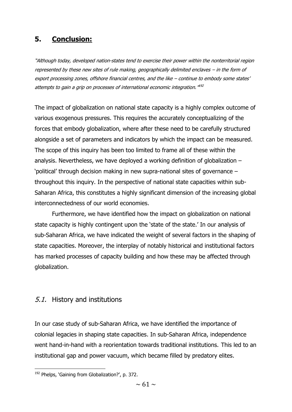# **5. Conclusion:**

"Although today, developed nation-states tend to exercise their power within the nonterritorial region represented by these new sites of rule making, geographically delimited enclaves – in the form of export processing zones, offshore financial centres, and the like – continue to embody some states' attempts to gain a grip on processes of international economic integration."  $^{492}$ 

The impact of globalization on national state capacity is a highly complex outcome of various exogenous pressures. This requires the accurately conceptualizing of the forces that embody globalization, where after these need to be carefully structured alongside a set of parameters and indicators by which the impact can be measured. The scope of this inquiry has been too limited to frame all of these within the analysis. Nevertheless, we have deployed a working definition of globalization – 'political' through decision making in new supra-national sites of governance – throughout this inquiry. In the perspective of national state capacities within sub-Saharan Africa, this constitutes a highly significant dimension of the increasing global interconnectedness of our world economies.

Furthermore, we have identified how the impact on globalization on national state capacity is highly contingent upon the 'state of the state.' In our analysis of sub-Saharan Africa, we have indicated the weight of several factors in the shaping of state capacities. Moreover, the interplay of notably historical and institutional factors has marked processes of capacity building and how these may be affected through globalization.

### 5.1. History and institutions

In our case study of sub-Saharan Africa, we have identified the importance of colonial legacies in shaping state capacities. In sub-Saharan Africa, independence went hand-in-hand with a reorientation towards traditional institutions. This led to an institutional gap and power vacuum, which became filled by predatory elites.

<sup>&</sup>lt;sup>192</sup> Phelps, 'Gaining from Globalization?', p. 372.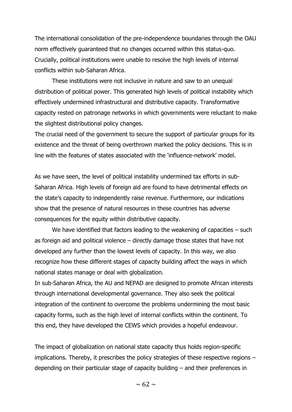The international consolidation of the pre-independence boundaries through the OAU norm effectively guaranteed that no changes occurred within this status-quo. Crucially, political institutions were unable to resolve the high levels of internal conflicts within sub-Saharan Africa.

These institutions were not inclusive in nature and saw to an unequal distribution of political power. This generated high levels of political instability which effectively undermined infrastructural and distributive capacity. Transformative capacity rested on patronage networks in which governments were reluctant to make the slightest distributional policy changes.

The crucial need of the government to secure the support of particular groups for its existence and the threat of being overthrown marked the policy decisions. This is in line with the features of states associated with the 'influence-network' model.

As we have seen, the level of political instability undermined tax efforts in sub-Saharan Africa. High levels of foreign aid are found to have detrimental effects on the state's capacity to independently raise revenue. Furthermore, our indications show that the presence of natural resources in these countries has adverse consequences for the equity within distributive capacity.

We have identified that factors leading to the weakening of capacities – such as foreign aid and political violence – directly damage those states that have not developed any further than the lowest levels of capacity. In this way, we also recognize how these different stages of capacity building affect the ways in which national states manage or deal with globalization.

In sub-Saharan Africa, the AU and NEPAD are designed to promote African interests through international developmental governance. They also seek the political integration of the continent to overcome the problems undermining the most basic capacity forms, such as the high level of internal conflicts within the continent. To this end, they have developed the CEWS which provides a hopeful endeavour.

The impact of globalization on national state capacity thus holds region-specific implications. Thereby, it prescribes the policy strategies of these respective regions – depending on their particular stage of capacity building – and their preferences in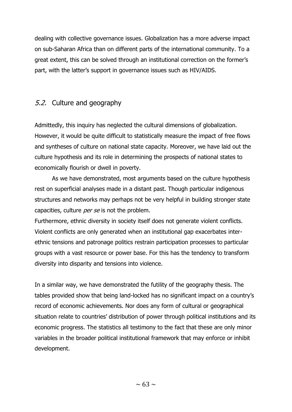dealing with collective governance issues. Globalization has a more adverse impact on sub-Saharan Africa than on different parts of the international community. To a great extent, this can be solved through an institutional correction on the former's part, with the latter's support in governance issues such as HIV/AIDS.

# 5.2. Culture and geography

Admittedly, this inquiry has neglected the cultural dimensions of globalization. However, it would be quite difficult to statistically measure the impact of free flows and syntheses of culture on national state capacity. Moreover, we have laid out the culture hypothesis and its role in determining the prospects of national states to economically flourish or dwell in poverty.

As we have demonstrated, most arguments based on the culture hypothesis rest on superficial analyses made in a distant past. Though particular indigenous structures and networks may perhaps not be very helpful in building stronger state capacities, culture *per se* is not the problem.

Furthermore, ethnic diversity in society itself does not generate violent conflicts. Violent conflicts are only generated when an institutional gap exacerbates interethnic tensions and patronage politics restrain participation processes to particular groups with a vast resource or power base. For this has the tendency to transform diversity into disparity and tensions into violence.

In a similar way, we have demonstrated the futility of the geography thesis. The tables provided show that being land-locked has no significant impact on a country's record of economic achievements. Nor does any form of cultural or geographical situation relate to countries' distribution of power through political institutions and its economic progress. The statistics all testimony to the fact that these are only minor variables in the broader political institutional framework that may enforce or inhibit development.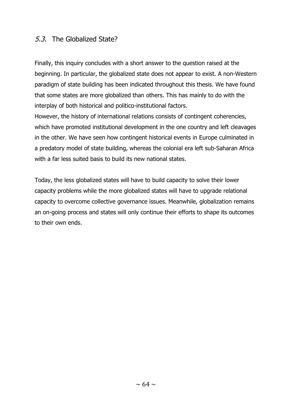# 5.3. The Globalized State?

Finally, this inquiry concludes with a short answer to the question raised at the beginning. In particular, the globalized state does not appear to exist. A non-Western paradigm of state building has been indicated throughout this thesis. We have found that some states are more globalized than others. This has mainly to do with the interplay of both historical and politico-institutional factors.

However, the history of international relations consists of contingent coherencies, which have promoted institutional development in the one country and left cleavages in the other. We have seen how contingent historical events in Europe culminated in a predatory model of state building, whereas the colonial era left sub-Saharan Africa with a far less suited basis to build its new national states.

Today, the less globalized states will have to build capacity to solve their lower capacity problems while the more globalized states will have to upgrade relational capacity to overcome collective governance issues. Meanwhile, globalization remains an on-going process and states will only continue their efforts to shape its outcomes to their own ends.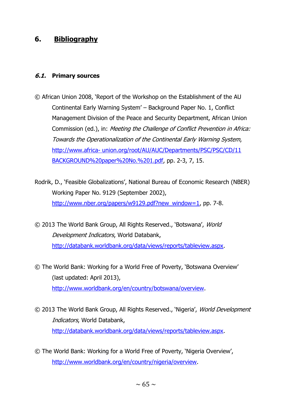# **6. Bibliography**

#### **6.1. Primary sources**

- © African Union 2008, 'Report of the Workshop on the Establishment of the AU Continental Early Warning System' – Background Paper No. 1, Conflict Management Division of the Peace and Security Department, African Union Commission (ed.), in: Meeting the Challenge of Conflict Prevention in Africa: Towards the Operationalization of the Continental Early Warning System, http://www.africa- union.org/root/AU/AUC/Departments/PSC/PSC/CD/11 BACKGROUND%20paper%20No.%201.pdf, pp. 2-3, 7, 15.
- Rodrik, D., 'Feasible Globalizations', National Bureau of Economic Research (NBER) Working Paper No. 9129 (September 2002), [http://www.nber.org/papers/w9129.pdf?new\\_window=1,](http://www.nber.org/papers/w9129.pdf?new_window=1) pp. 7-8.
- © 2013 The World Bank Group, All Rights Reserved., 'Botswana', World Development Indicators, World Databank, [http://databank.worldbank.org/data/views/reports/tableview.aspx.](http://databank.worldbank.org/data/views/reports/tableview.aspx)
- © The World Bank: Working for a World Free of Poverty, 'Botswana Overview' (last updated: April 2013), [http://www.worldbank.org/en/country/botswana/overview.](http://www.worldbank.org/en/country/botswana/overview)
- © 2013 The World Bank Group, All Rights Reserved., 'Nigeria', World Development Indicators, World Databank, [http://databank.worldbank.org/data/views/reports/tableview.aspx.](http://databank.worldbank.org/data/views/reports/tableview.aspx)
- © The World Bank: Working for a World Free of Poverty, 'Nigeria Overview', [http://www.worldbank.org/en/country/nigeria/overview.](http://www.worldbank.org/en/country/nigeria/overview)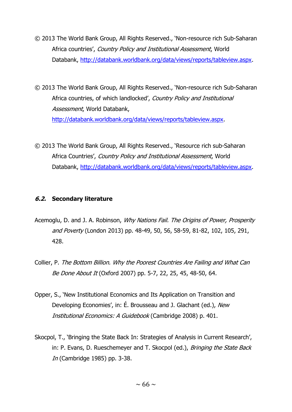- © 2013 The World Bank Group, All Rights Reserved., 'Non-resource rich Sub-Saharan Africa countries', Country Policy and Institutional Assessment, World Databank, [http://databank.worldbank.org/data/views/reports/tableview.aspx.](http://databank.worldbank.org/data/views/reports/tableview.aspx)
- © 2013 The World Bank Group, All Rights Reserved., 'Non-resource rich Sub-Saharan Africa countries, of which landlocked', Country Policy and Institutional Assessment, World Databank, [http://databank.worldbank.org/data/views/reports/tableview.aspx.](http://databank.worldbank.org/data/views/reports/tableview.aspx)
- © 2013 The World Bank Group, All Rights Reserved., 'Resource rich sub-Saharan Africa Countries', Country Policy and Institutional Assessment, World Databank, [http://databank.worldbank.org/data/views/reports/tableview.aspx.](http://databank.worldbank.org/data/views/reports/tableview.aspx)

#### **6.2. Secondary literature**

- Acemoglu, D. and J. A. Robinson, Why Nations Fail. The Origins of Power, Prosperity and Poverty (London 2013) pp. 48-49, 50, 56, 58-59, 81-82, 102, 105, 291, 428.
- Collier, P. The Bottom Billion. Why the Poorest Countries Are Failing and What Can Be Done About It (Oxford 2007) pp. 5-7, 22, 25, 45, 48-50, 64.
- Opper, S., 'New Institutional Economics and Its Application on Transition and Developing Economies', in: É. Brousseau and J. Glachant (ed.), New Institutional Economics: A Guidebook (Cambridge 2008) p. 401.
- Skocpol, T., 'Bringing the State Back In: Strategies of Analysis in Current Research', in: P. Evans, D. Rueschemeyer and T. Skocpol (ed.), Bringing the State Back In (Cambridge 1985) pp. 3-38.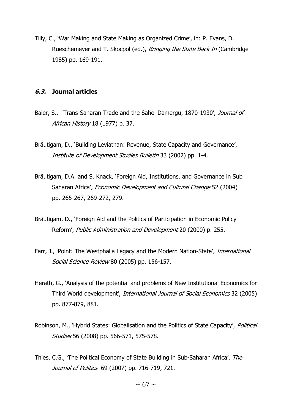Tilly, C., 'War Making and State Making as Organized Crime', in: P. Evans, D. Rueschemeyer and T. Skocpol (ed.), Bringing the State Back In (Cambridge 1985) pp. 169-191.

#### **6.3. Journal articles**

- Baier, S., 'Trans-Saharan Trade and the Sahel Damergu, 1870-1930', Journal of African History 18 (1977) p. 37.
- Bräutigam, D., 'Building Leviathan: Revenue, State Capacity and Governance', Institute of Development Studies Bulletin 33 (2002) pp. 1-4.
- Bräutigam, D.A. and S. Knack, 'Foreign Aid, Institutions, and Governance in Sub Saharan Africa', *Economic Development and Cultural Change* 52 (2004) pp. 265-267, 269-272, 279.
- Bräutigam, D., 'Foreign Aid and the Politics of Participation in Economic Policy Reform', Public Administration and Development 20 (2000) p. 255.
- Farr, J., 'Point: The Westphalia Legacy and the Modern Nation-State', *International* Social Science Review 80 (2005) pp. 156-157.
- Herath, G., 'Analysis of the potential and problems of New Institutional Economics for Third World development', International Journal of Social Economics 32 (2005) pp. 877-879, 881.
- Robinson, M., 'Hybrid States: Globalisation and the Politics of State Capacity', Political Studies 56 (2008) pp. 566-571, 575-578.
- Thies, C.G., 'The Political Economy of State Building in Sub-Saharan Africa', The Journal of Politics 69 (2007) pp. 716-719, 721.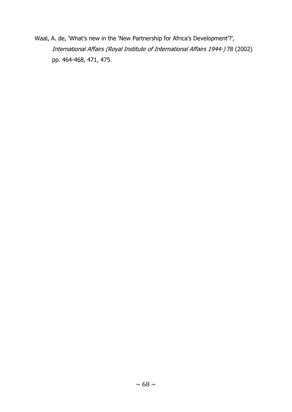Waal, A. de, 'What's new in the 'New Partnership for Africa's Development'?', International Affairs (Royal Institute of International Affairs 1944-) 78 (2002) pp. 464-468, 471, 475.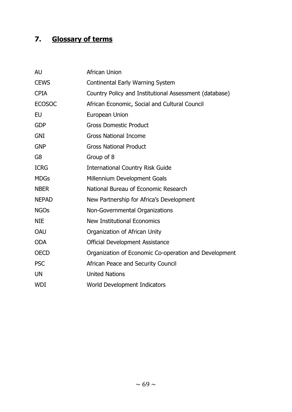# **7. Glossary of terms**

| <b>AU</b>      | <b>African Union</b>                                   |
|----------------|--------------------------------------------------------|
| <b>CEWS</b>    | Continental Early Warning System                       |
| <b>CPIA</b>    | Country Policy and Institutional Assessment (database) |
| <b>ECOSOC</b>  | African Economic, Social and Cultural Council          |
| EU             | European Union                                         |
| <b>GDP</b>     | <b>Gross Domestic Product</b>                          |
| <b>GNI</b>     | <b>Gross National Income</b>                           |
| <b>GNP</b>     | <b>Gross National Product</b>                          |
| G <sub>8</sub> | Group of 8                                             |
| <b>ICRG</b>    | <b>International Country Risk Guide</b>                |
| <b>MDGs</b>    | Millennium Development Goals                           |
| <b>NBER</b>    | National Bureau of Economic Research                   |
| <b>NEPAD</b>   | New Partnership for Africa's Development               |
| <b>NGOs</b>    | Non-Governmental Organizations                         |
| <b>NIE</b>     | <b>New Institutional Economics</b>                     |
| <b>OAU</b>     | Organization of African Unity                          |
| <b>ODA</b>     | <b>Official Development Assistance</b>                 |
| <b>OECD</b>    | Organization of Economic Co-operation and Development  |
| <b>PSC</b>     | African Peace and Security Council                     |
| <b>UN</b>      | <b>United Nations</b>                                  |
| <b>WDI</b>     | World Development Indicators                           |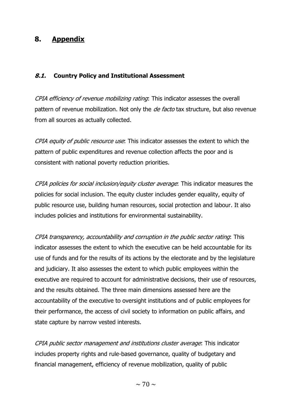# **8. Appendix**

#### **8.1. Country Policy and Institutional Assessment**

CPIA efficiency of revenue mobilizing rating: This indicator assesses the overall pattern of revenue mobilization. Not only the *de facto* tax structure, but also revenue from all sources as actually collected.

CPIA equity of public resource use: This indicator assesses the extent to which the pattern of public expenditures and revenue collection affects the poor and is consistent with national poverty reduction priorities.

CPIA policies for social inclusion/equity cluster average: This indicator measures the policies for social inclusion. The equity cluster includes gender equality, equity of public resource use, building human resources, social protection and labour. It also includes policies and institutions for environmental sustainability.

CPIA transparency, accountability and corruption in the public sector rating: This indicator assesses the extent to which the executive can be held accountable for its use of funds and for the results of its actions by the electorate and by the legislature and judiciary. It also assesses the extent to which public employees within the executive are required to account for administrative decisions, their use of resources, and the results obtained. The three main dimensions assessed here are the accountability of the executive to oversight institutions and of public employees for their performance, the access of civil society to information on public affairs, and state capture by narrow vested interests.

CPIA public sector management and institutions cluster average: This indicator includes property rights and rule-based governance, quality of budgetary and financial management, efficiency of revenue mobilization, quality of public